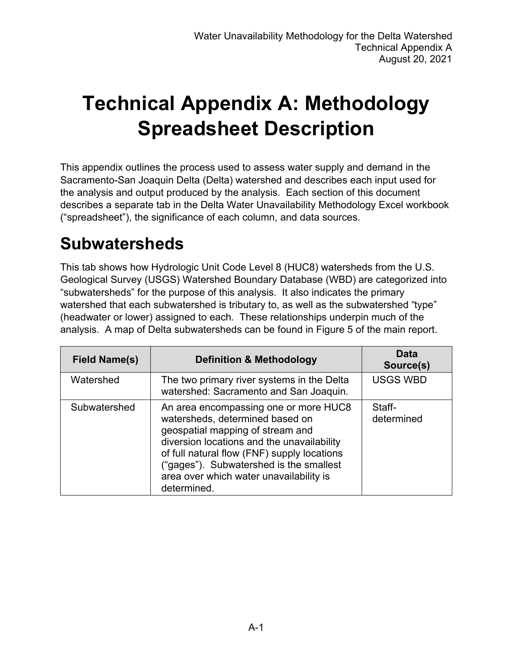# **Technical Appendix A: Methodology Spreadsheet Description**

This appendix outlines the process used to assess water supply and demand in the Sacramento-San Joaquin Delta (Delta) watershed and describes each input used for the analysis and output produced by the analysis. Each section of this document describes a separate tab in the Delta Water Unavailability Methodology Excel workbook ("spreadsheet"), the significance of each column, and data sources.

#### **Subwatersheds**

This tab shows how Hydrologic Unit Code Level 8 (HUC8) watersheds from the U.S. Geological Survey (USGS) Watershed Boundary Database (WBD) are categorized into "subwatersheds" for the purpose of this analysis. It also indicates the primary watershed that each subwatershed is tributary to, as well as the subwatershed "type" (headwater or lower) assigned to each. These relationships underpin much of the analysis. A map of Delta subwatersheds can be found in Figure 5 of the main report.

| <b>Field Name(s)</b> | <b>Definition &amp; Methodology</b>                                                                                                                                                                                                                                                                            | Data<br>Source(s)    |
|----------------------|----------------------------------------------------------------------------------------------------------------------------------------------------------------------------------------------------------------------------------------------------------------------------------------------------------------|----------------------|
| Watershed            | The two primary river systems in the Delta<br>watershed: Sacramento and San Joaquin.                                                                                                                                                                                                                           | <b>USGS WBD</b>      |
| Subwatershed         | An area encompassing one or more HUC8<br>watersheds, determined based on<br>geospatial mapping of stream and<br>diversion locations and the unavailability<br>of full natural flow (FNF) supply locations<br>("gages"). Subwatershed is the smallest<br>area over which water unavailability is<br>determined. | Staff-<br>determined |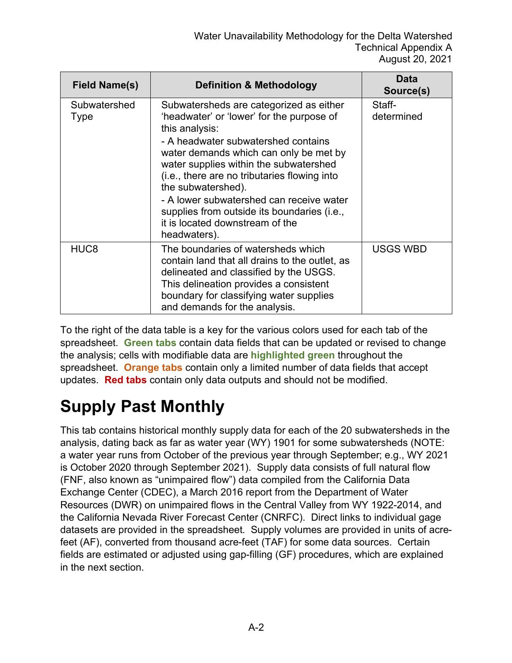| <b>Field Name(s)</b> | <b>Definition &amp; Methodology</b>                                                                                                                                                                                                                                                                                                                                                                                                                   | Data<br>Source(s)    |
|----------------------|-------------------------------------------------------------------------------------------------------------------------------------------------------------------------------------------------------------------------------------------------------------------------------------------------------------------------------------------------------------------------------------------------------------------------------------------------------|----------------------|
| Subwatershed<br>Type | Subwatersheds are categorized as either<br>'headwater' or 'lower' for the purpose of<br>this analysis:<br>- A headwater subwatershed contains<br>water demands which can only be met by<br>water supplies within the subwatershed<br>(i.e., there are no tributaries flowing into<br>the subwatershed).<br>- A lower subwatershed can receive water<br>supplies from outside its boundaries (i.e.,<br>it is located downstream of the<br>headwaters). | Staff-<br>determined |
| HUC <sub>8</sub>     | The boundaries of watersheds which<br>contain land that all drains to the outlet, as<br>delineated and classified by the USGS.<br>This delineation provides a consistent<br>boundary for classifying water supplies<br>and demands for the analysis.                                                                                                                                                                                                  | <b>USGS WBD</b>      |

To the right of the data table is a key for the various colors used for each tab of the spreadsheet. **Green tabs** contain data fields that can be updated or revised to change the analysis; cells with modifiable data are **highlighted green** throughout the spreadsheet. **Orange tabs** contain only a limited number of data fields that accept updates. **Red tabs** contain only data outputs and should not be modified.

### **Supply Past Monthly**

This tab contains historical monthly supply data for each of the 20 subwatersheds in the analysis, dating back as far as water year (WY) 1901 for some subwatersheds (NOTE: a water year runs from October of the previous year through September; e.g., WY 2021 is October 2020 through September 2021). Supply data consists of full natural flow (FNF, also known as "unimpaired flow") data compiled from the California Data Exchange Center (CDEC), a March 2016 report from the Department of Water Resources (DWR) on unimpaired flows in the Central Valley from WY 1922-2014, and the California Nevada River Forecast Center (CNRFC). Direct links to individual gage datasets are provided in the spreadsheet. Supply volumes are provided in units of acrefeet (AF), converted from thousand acre-feet (TAF) for some data sources. Certain fields are estimated or adjusted using gap-filling (GF) procedures, which are explained in the next section.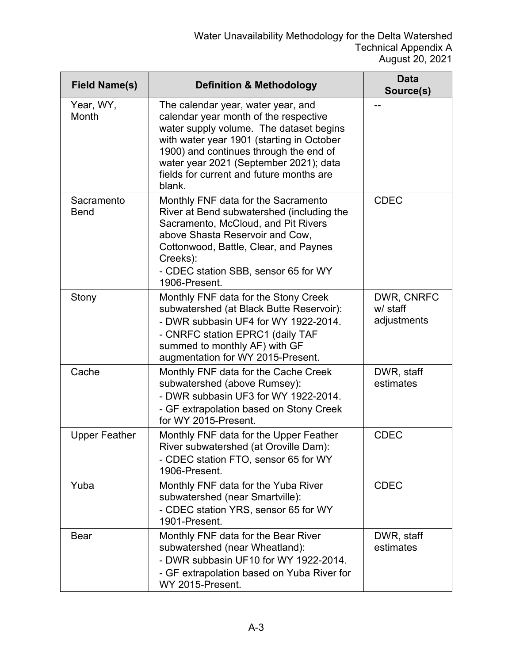| <b>Field Name(s)</b>      | <b>Definition &amp; Methodology</b>                                                                                                                                                                                                                                                                           | <b>Data</b><br>Source(s)              |
|---------------------------|---------------------------------------------------------------------------------------------------------------------------------------------------------------------------------------------------------------------------------------------------------------------------------------------------------------|---------------------------------------|
| Year, WY,<br>Month        | The calendar year, water year, and<br>calendar year month of the respective<br>water supply volume. The dataset begins<br>with water year 1901 (starting in October<br>1900) and continues through the end of<br>water year 2021 (September 2021); data<br>fields for current and future months are<br>blank. |                                       |
| Sacramento<br><b>Bend</b> | Monthly FNF data for the Sacramento<br>River at Bend subwatershed (including the<br>Sacramento, McCloud, and Pit Rivers<br>above Shasta Reservoir and Cow,<br>Cottonwood, Battle, Clear, and Paynes<br>Creeks):<br>- CDEC station SBB, sensor 65 for WY<br>1906-Present.                                      | <b>CDEC</b>                           |
| Stony                     | Monthly FNF data for the Stony Creek<br>subwatershed (at Black Butte Reservoir):<br>- DWR subbasin UF4 for WY 1922-2014.<br>- CNRFC station EPRC1 (daily TAF<br>summed to monthly AF) with GF<br>augmentation for WY 2015-Present.                                                                            | DWR, CNRFC<br>w/ staff<br>adjustments |
| Cache                     | Monthly FNF data for the Cache Creek<br>subwatershed (above Rumsey):<br>- DWR subbasin UF3 for WY 1922-2014.<br>- GF extrapolation based on Stony Creek<br>for WY 2015-Present.                                                                                                                               | DWR, staff<br>estimates               |
| <b>Upper Feather</b>      | Monthly FNF data for the Upper Feather<br>River subwatershed (at Oroville Dam):<br>- CDEC station FTO, sensor 65 for WY<br>1906-Present.                                                                                                                                                                      | <b>CDEC</b>                           |
| Yuba                      | Monthly FNF data for the Yuba River<br>subwatershed (near Smartville):<br>- CDEC station YRS, sensor 65 for WY<br>1901-Present.                                                                                                                                                                               | <b>CDEC</b>                           |
| <b>Bear</b>               | Monthly FNF data for the Bear River<br>subwatershed (near Wheatland):<br>- DWR subbasin UF10 for WY 1922-2014.<br>- GF extrapolation based on Yuba River for<br>WY 2015-Present.                                                                                                                              | DWR, staff<br>estimates               |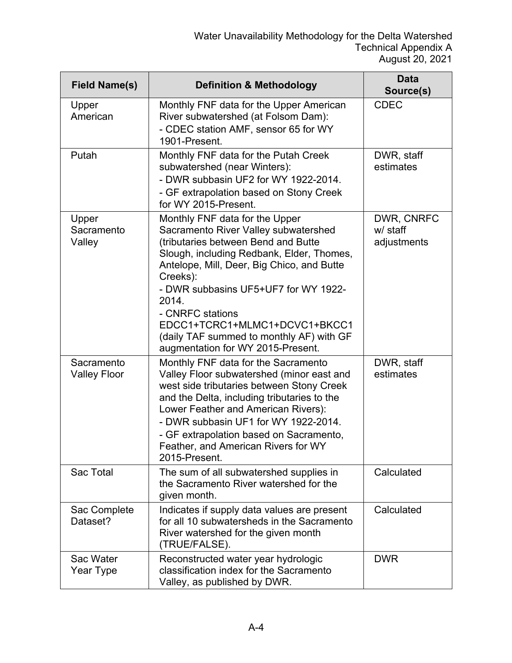| <b>Field Name(s)</b>              | <b>Definition &amp; Methodology</b>                                                                                                                                                                                                                                                                                                                                                                         | <b>Data</b><br>Source(s)              |
|-----------------------------------|-------------------------------------------------------------------------------------------------------------------------------------------------------------------------------------------------------------------------------------------------------------------------------------------------------------------------------------------------------------------------------------------------------------|---------------------------------------|
| Upper<br>American                 | Monthly FNF data for the Upper American<br>River subwatershed (at Folsom Dam):<br>- CDEC station AMF, sensor 65 for WY<br>1901-Present.                                                                                                                                                                                                                                                                     | <b>CDEC</b>                           |
| Putah                             | Monthly FNF data for the Putah Creek<br>subwatershed (near Winters):<br>- DWR subbasin UF2 for WY 1922-2014.<br>- GF extrapolation based on Stony Creek<br>for WY 2015-Present.                                                                                                                                                                                                                             | DWR, staff<br>estimates               |
| Upper<br>Sacramento<br>Valley     | Monthly FNF data for the Upper<br>Sacramento River Valley subwatershed<br>(tributaries between Bend and Butte<br>Slough, including Redbank, Elder, Thomes,<br>Antelope, Mill, Deer, Big Chico, and Butte<br>Creeks):<br>- DWR subbasins UF5+UF7 for WY 1922-<br>2014.<br>- CNRFC stations<br>EDCC1+TCRC1+MLMC1+DCVC1+BKCC1<br>(daily TAF summed to monthly AF) with GF<br>augmentation for WY 2015-Present. | DWR, CNRFC<br>w/ staff<br>adjustments |
| Sacramento<br><b>Valley Floor</b> | Monthly FNF data for the Sacramento<br>Valley Floor subwatershed (minor east and<br>west side tributaries between Stony Creek<br>and the Delta, including tributaries to the<br>Lower Feather and American Rivers):<br>- DWR subbasin UF1 for WY 1922-2014.<br>- GF extrapolation based on Sacramento,<br>Feather, and American Rivers for WY<br>2015-Present.                                              | DWR, staff<br>estimates               |
| Sac Total                         | The sum of all subwatershed supplies in<br>the Sacramento River watershed for the<br>given month.                                                                                                                                                                                                                                                                                                           | Calculated                            |
| Sac Complete<br>Dataset?          | Indicates if supply data values are present<br>for all 10 subwatersheds in the Sacramento<br>River watershed for the given month<br>(TRUE/FALSE).                                                                                                                                                                                                                                                           | Calculated                            |
| Sac Water<br>Year Type            | Reconstructed water year hydrologic<br>classification index for the Sacramento<br>Valley, as published by DWR.                                                                                                                                                                                                                                                                                              | <b>DWR</b>                            |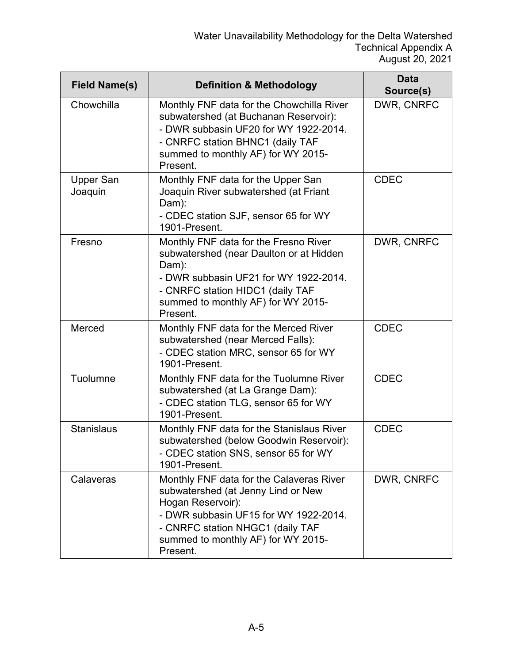| <b>Field Name(s)</b>        | <b>Definition &amp; Methodology</b>                                                                                                                                                                                                | <b>Data</b><br>Source(s) |
|-----------------------------|------------------------------------------------------------------------------------------------------------------------------------------------------------------------------------------------------------------------------------|--------------------------|
| Chowchilla                  | Monthly FNF data for the Chowchilla River<br>subwatershed (at Buchanan Reservoir):<br>- DWR subbasin UF20 for WY 1922-2014.<br>- CNRFC station BHNC1 (daily TAF<br>summed to monthly AF) for WY 2015-<br>Present.                  | DWR, CNRFC               |
| <b>Upper San</b><br>Joaquin | Monthly FNF data for the Upper San<br>Joaquin River subwatershed (at Friant<br>Dam):<br>- CDEC station SJF, sensor 65 for WY<br>1901-Present.                                                                                      | <b>CDEC</b>              |
| Fresno                      | Monthly FNF data for the Fresno River<br>subwatershed (near Daulton or at Hidden<br>Dam):<br>- DWR subbasin UF21 for WY 1922-2014.<br>- CNRFC station HIDC1 (daily TAF<br>summed to monthly AF) for WY 2015-<br>Present.           | DWR, CNRFC               |
| Merced                      | Monthly FNF data for the Merced River<br>subwatershed (near Merced Falls):<br>- CDEC station MRC, sensor 65 for WY<br>1901-Present.                                                                                                | <b>CDEC</b>              |
| Tuolumne                    | Monthly FNF data for the Tuolumne River<br>subwatershed (at La Grange Dam):<br>- CDEC station TLG, sensor 65 for WY<br>1901-Present.                                                                                               | <b>CDEC</b>              |
| <b>Stanislaus</b>           | Monthly FNF data for the Stanislaus River<br>subwatershed (below Goodwin Reservoir):<br>- CDEC station SNS, sensor 65 for WY<br>1901-Present.                                                                                      | <b>CDEC</b>              |
| Calaveras                   | Monthly FNF data for the Calaveras River<br>subwatershed (at Jenny Lind or New<br>Hogan Reservoir):<br>- DWR subbasin UF15 for WY 1922-2014.<br>- CNRFC station NHGC1 (daily TAF<br>summed to monthly AF) for WY 2015-<br>Present. | DWR, CNRFC               |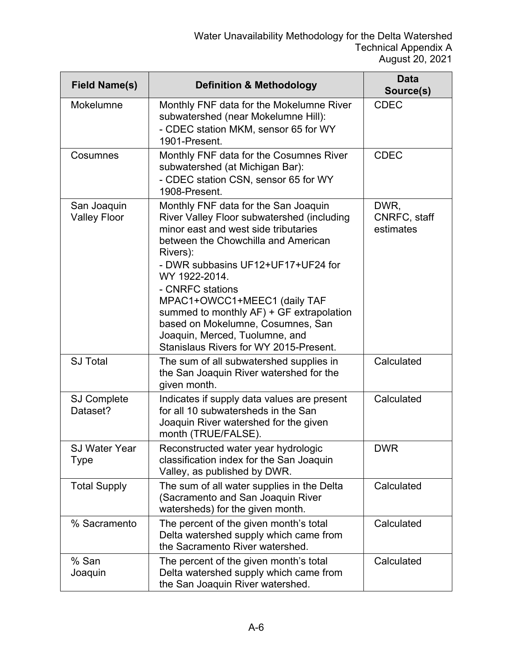| <b>Field Name(s)</b>               | <b>Definition &amp; Methodology</b>                                                                                                                                                                                                                                                                                                                                                                                                                   | Data<br>Source(s)                 |
|------------------------------------|-------------------------------------------------------------------------------------------------------------------------------------------------------------------------------------------------------------------------------------------------------------------------------------------------------------------------------------------------------------------------------------------------------------------------------------------------------|-----------------------------------|
| Mokelumne                          | Monthly FNF data for the Mokelumne River<br>subwatershed (near Mokelumne Hill):<br>- CDEC station MKM, sensor 65 for WY<br>1901-Present.                                                                                                                                                                                                                                                                                                              | <b>CDEC</b>                       |
| Cosumnes                           | Monthly FNF data for the Cosumnes River<br>subwatershed (at Michigan Bar):<br>- CDEC station CSN, sensor 65 for WY<br>1908-Present.                                                                                                                                                                                                                                                                                                                   | <b>CDEC</b>                       |
| San Joaquin<br><b>Valley Floor</b> | Monthly FNF data for the San Joaquin<br>River Valley Floor subwatershed (including<br>minor east and west side tributaries<br>between the Chowchilla and American<br>Rivers):<br>- DWR subbasins UF12+UF17+UF24 for<br>WY 1922-2014.<br>- CNRFC stations<br>MPAC1+OWCC1+MEEC1 (daily TAF<br>summed to monthly AF) + GF extrapolation<br>based on Mokelumne, Cosumnes, San<br>Joaquin, Merced, Tuolumne, and<br>Stanislaus Rivers for WY 2015-Present. | DWR,<br>CNRFC, staff<br>estimates |
| <b>SJ Total</b>                    | The sum of all subwatershed supplies in<br>the San Joaquin River watershed for the<br>given month.                                                                                                                                                                                                                                                                                                                                                    | Calculated                        |
| <b>SJ Complete</b><br>Dataset?     | Indicates if supply data values are present<br>for all 10 subwatersheds in the San<br>Joaquin River watershed for the given<br>month (TRUE/FALSE).                                                                                                                                                                                                                                                                                                    | Calculated                        |
| <b>SJ Water Year</b><br>Type       | Reconstructed water year hydrologic<br>classification index for the San Joaquin<br>Valley, as published by DWR.                                                                                                                                                                                                                                                                                                                                       | <b>DWR</b>                        |
| <b>Total Supply</b>                | The sum of all water supplies in the Delta<br>(Sacramento and San Joaquin River<br>watersheds) for the given month.                                                                                                                                                                                                                                                                                                                                   | Calculated                        |
| % Sacramento                       | The percent of the given month's total<br>Delta watershed supply which came from<br>the Sacramento River watershed.                                                                                                                                                                                                                                                                                                                                   | Calculated                        |
| % San<br>Joaquin                   | The percent of the given month's total<br>Delta watershed supply which came from<br>the San Joaquin River watershed.                                                                                                                                                                                                                                                                                                                                  | Calculated                        |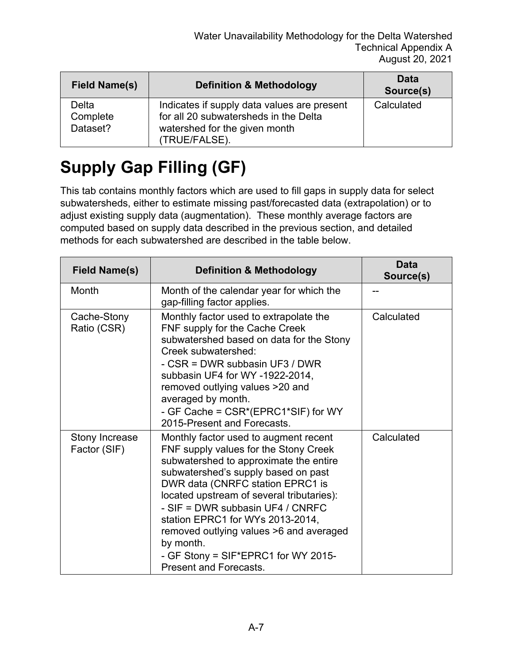| <b>Field Name(s)</b>          | <b>Definition &amp; Methodology</b>                                                                                                    | Data<br>Source(s) |
|-------------------------------|----------------------------------------------------------------------------------------------------------------------------------------|-------------------|
| Delta<br>Complete<br>Dataset? | Indicates if supply data values are present<br>for all 20 subwatersheds in the Delta<br>watershed for the given month<br>(TRUE/FALSE). | Calculated        |

# **Supply Gap Filling (GF)**

This tab contains monthly factors which are used to fill gaps in supply data for select subwatersheds, either to estimate missing past/forecasted data (extrapolation) or to adjust existing supply data (augmentation). These monthly average factors are computed based on supply data described in the previous section, and detailed methods for each subwatershed are described in the table below.

| <b>Field Name(s)</b>           | <b>Definition &amp; Methodology</b>                                                                                                                                                                                                                                                                                                                                                                                                                      | Data<br>Source(s) |
|--------------------------------|----------------------------------------------------------------------------------------------------------------------------------------------------------------------------------------------------------------------------------------------------------------------------------------------------------------------------------------------------------------------------------------------------------------------------------------------------------|-------------------|
| Month                          | Month of the calendar year for which the<br>gap-filling factor applies.                                                                                                                                                                                                                                                                                                                                                                                  |                   |
| Cache-Stony<br>Ratio (CSR)     | Monthly factor used to extrapolate the<br>FNF supply for the Cache Creek<br>subwatershed based on data for the Stony<br>Creek subwatershed:<br>- CSR = DWR subbasin UF3 / DWR<br>subbasin UF4 for WY -1922-2014,<br>removed outlying values >20 and<br>averaged by month.<br>- GF Cache = CSR*(EPRC1*SIF) for WY<br>2015-Present and Forecasts.                                                                                                          | Calculated        |
| Stony Increase<br>Factor (SIF) | Monthly factor used to augment recent<br>FNF supply values for the Stony Creek<br>subwatershed to approximate the entire<br>subwatershed's supply based on past<br>DWR data (CNRFC station EPRC1 is<br>located upstream of several tributaries):<br>- SIF = DWR subbasin UF4 / CNRFC<br>station EPRC1 for WYs 2013-2014,<br>removed outlying values >6 and averaged<br>by month.<br>- GF Stony = SIF*EPRC1 for WY 2015-<br><b>Present and Forecasts.</b> | Calculated        |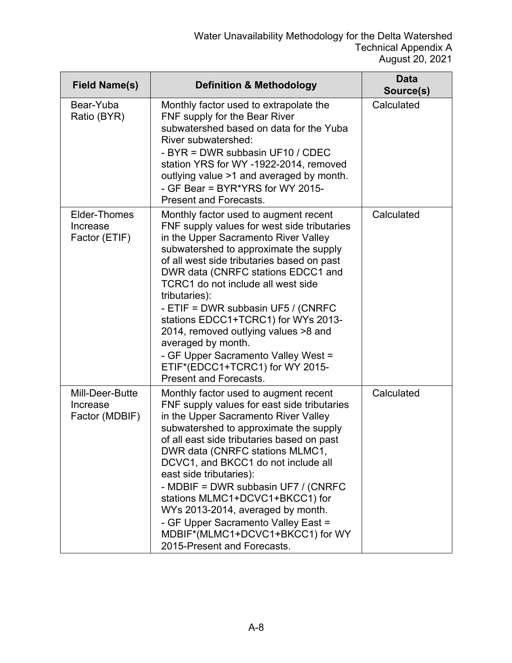| <b>Field Name(s)</b>                             | <b>Definition &amp; Methodology</b>                                                                                                                                                                                                                                                                                                                                                                                                                                                                                                                                     | <b>Data</b><br>Source(s) |
|--------------------------------------------------|-------------------------------------------------------------------------------------------------------------------------------------------------------------------------------------------------------------------------------------------------------------------------------------------------------------------------------------------------------------------------------------------------------------------------------------------------------------------------------------------------------------------------------------------------------------------------|--------------------------|
| Bear-Yuba<br>Ratio (BYR)                         | Monthly factor used to extrapolate the<br>FNF supply for the Bear River<br>subwatershed based on data for the Yuba<br>River subwatershed:<br>- BYR = DWR subbasin UF10 / CDEC<br>station YRS for WY-1922-2014, removed<br>outlying value >1 and averaged by month.<br>- GF Bear = BYR*YRS for WY 2015-<br><b>Present and Forecasts.</b>                                                                                                                                                                                                                                 | Calculated               |
| <b>Elder-Thomes</b><br>Increase<br>Factor (ETIF) | Monthly factor used to augment recent<br>FNF supply values for west side tributaries<br>in the Upper Sacramento River Valley<br>subwatershed to approximate the supply<br>of all west side tributaries based on past<br>DWR data (CNRFC stations EDCC1 and<br>TCRC1 do not include all west side<br>tributaries):<br>- ETIF = DWR subbasin UF5 / (CNRFC<br>stations EDCC1+TCRC1) for WYs 2013-<br>2014, removed outlying values >8 and<br>averaged by month.<br>- GF Upper Sacramento Valley West =<br>ETIF*(EDCC1+TCRC1) for WY 2015-<br><b>Present and Forecasts.</b> | Calculated               |
| Mill-Deer-Butte<br>Increase<br>Factor (MDBIF)    | Monthly factor used to augment recent<br>FNF supply values for east side tributaries<br>in the Upper Sacramento River Valley<br>subwatershed to approximate the supply<br>of all east side tributaries based on past<br>DWR data (CNRFC stations MLMC1,<br>DCVC1, and BKCC1 do not include all<br>east side tributaries):<br>- MDBIF = DWR subbasin UF7 / (CNRFC<br>stations MLMC1+DCVC1+BKCC1) for<br>WYs 2013-2014, averaged by month.<br>- GF Upper Sacramento Valley East =<br>MDBIF*(MLMC1+DCVC1+BKCC1) for WY<br>2015-Present and Forecasts.                      | Calculated               |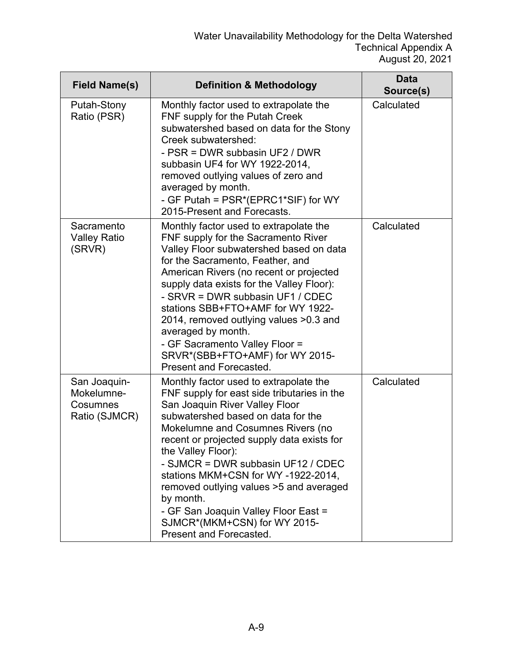| <b>Field Name(s)</b>                                    | <b>Definition &amp; Methodology</b>                                                                                                                                                                                                                                                                                                                                                                                                                                                                           | <b>Data</b><br>Source(s) |
|---------------------------------------------------------|---------------------------------------------------------------------------------------------------------------------------------------------------------------------------------------------------------------------------------------------------------------------------------------------------------------------------------------------------------------------------------------------------------------------------------------------------------------------------------------------------------------|--------------------------|
| Putah-Stony<br>Ratio (PSR)                              | Monthly factor used to extrapolate the<br>FNF supply for the Putah Creek<br>subwatershed based on data for the Stony<br>Creek subwatershed:<br>- PSR = DWR subbasin UF2 / DWR<br>subbasin UF4 for WY 1922-2014,<br>removed outlying values of zero and<br>averaged by month.<br>- GF Putah = PSR*(EPRC1*SIF) for WY<br>2015-Present and Forecasts.                                                                                                                                                            | Calculated               |
| Sacramento<br><b>Valley Ratio</b><br>(SRVR)             | Monthly factor used to extrapolate the<br>FNF supply for the Sacramento River<br>Valley Floor subwatershed based on data<br>for the Sacramento, Feather, and<br>American Rivers (no recent or projected<br>supply data exists for the Valley Floor):<br>- SRVR = DWR subbasin UF1 / CDEC<br>stations SBB+FTO+AMF for WY 1922-<br>2014, removed outlying values >0.3 and<br>averaged by month.<br>- GF Sacramento Valley Floor =<br>SRVR*(SBB+FTO+AMF) for WY 2015-<br>Present and Forecasted.                 | Calculated               |
| San Joaquin-<br>Mokelumne-<br>Cosumnes<br>Ratio (SJMCR) | Monthly factor used to extrapolate the<br>FNF supply for east side tributaries in the<br>San Joaquin River Valley Floor<br>subwatershed based on data for the<br>Mokelumne and Cosumnes Rivers (no<br>recent or projected supply data exists for<br>the Valley Floor):<br>- SJMCR = DWR subbasin UF12 / CDEC<br>stations MKM+CSN for WY-1922-2014,<br>removed outlying values >5 and averaged<br>by month.<br>- GF San Joaquin Valley Floor East =<br>SJMCR*(MKM+CSN) for WY 2015-<br>Present and Forecasted. | Calculated               |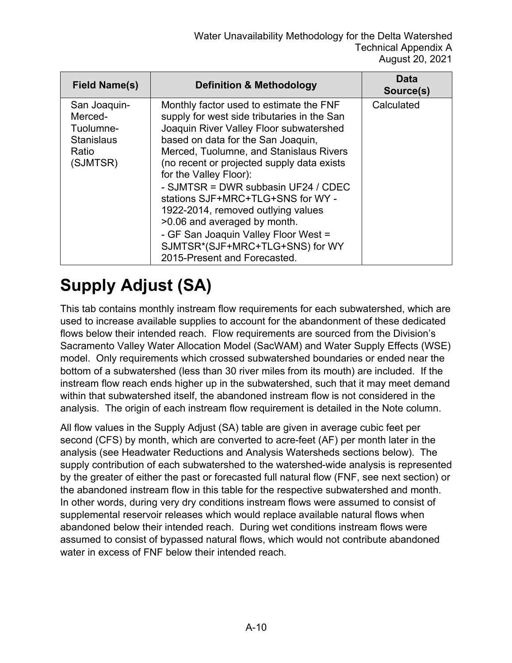| <b>Field Name(s)</b>                                                           | <b>Definition &amp; Methodology</b>                                                                                                                                                                                                                                                                                                                                                                                                                                                                                                                     | Data<br>Source(s) |
|--------------------------------------------------------------------------------|---------------------------------------------------------------------------------------------------------------------------------------------------------------------------------------------------------------------------------------------------------------------------------------------------------------------------------------------------------------------------------------------------------------------------------------------------------------------------------------------------------------------------------------------------------|-------------------|
| San Joaquin-<br>Merced-<br>Tuolumne-<br><b>Stanislaus</b><br>Ratio<br>(SJMTSR) | Monthly factor used to estimate the FNF<br>supply for west side tributaries in the San<br>Joaquin River Valley Floor subwatershed<br>based on data for the San Joaquin,<br>Merced, Tuolumne, and Stanislaus Rivers<br>(no recent or projected supply data exists<br>for the Valley Floor):<br>- SJMTSR = DWR subbasin UF24 / CDEC<br>stations SJF+MRC+TLG+SNS for WY -<br>1922-2014, removed outlying values<br>>0.06 and averaged by month.<br>- GF San Joaquin Valley Floor West =<br>SJMTSR*(SJF+MRC+TLG+SNS) for WY<br>2015-Present and Forecasted. | Calculated        |

# **Supply Adjust (SA)**

This tab contains monthly instream flow requirements for each subwatershed, which are used to increase available supplies to account for the abandonment of these dedicated flows below their intended reach. Flow requirements are sourced from the Division's Sacramento Valley Water Allocation Model (SacWAM) and Water Supply Effects (WSE) model. Only requirements which crossed subwatershed boundaries or ended near the bottom of a subwatershed (less than 30 river miles from its mouth) are included. If the instream flow reach ends higher up in the subwatershed, such that it may meet demand within that subwatershed itself, the abandoned instream flow is not considered in the analysis. The origin of each instream flow requirement is detailed in the Note column.

All flow values in the Supply Adjust (SA) table are given in average cubic feet per second (CFS) by month, which are converted to acre-feet (AF) per month later in the analysis (see Headwater Reductions and Analysis Watersheds sections below). The supply contribution of each subwatershed to the watershed-wide analysis is represented by the greater of either the past or forecasted full natural flow (FNF, see next section) or the abandoned instream flow in this table for the respective subwatershed and month. In other words, during very dry conditions instream flows were assumed to consist of supplemental reservoir releases which would replace available natural flows when abandoned below their intended reach. During wet conditions instream flows were assumed to consist of bypassed natural flows, which would not contribute abandoned water in excess of FNF below their intended reach.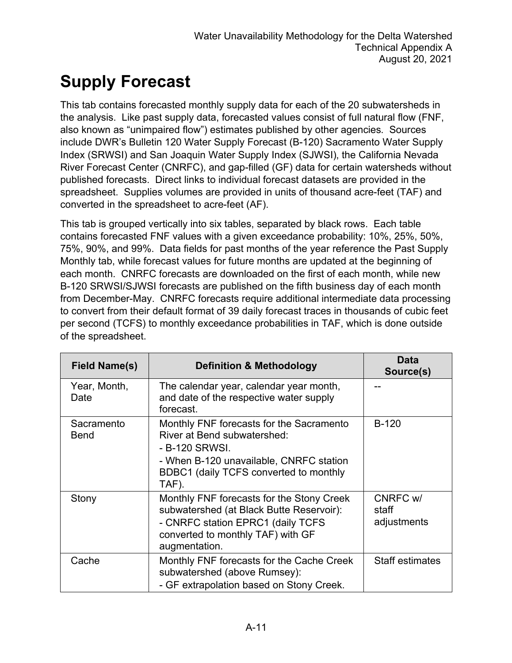# **Supply Forecast**

This tab contains forecasted monthly supply data for each of the 20 subwatersheds in the analysis. Like past supply data, forecasted values consist of full natural flow (FNF, also known as "unimpaired flow") estimates published by other agencies. Sources include DWR's Bulletin 120 Water Supply Forecast (B-120) Sacramento Water Supply Index (SRWSI) and San Joaquin Water Supply Index (SJWSI), the California Nevada River Forecast Center (CNRFC), and gap-filled (GF) data for certain watersheds without published forecasts. Direct links to individual forecast datasets are provided in the spreadsheet. Supplies volumes are provided in units of thousand acre-feet (TAF) and converted in the spreadsheet to acre-feet (AF).

This tab is grouped vertically into six tables, separated by black rows. Each table contains forecasted FNF values with a given exceedance probability: 10%, 25%, 50%, 75%, 90%, and 99%. Data fields for past months of the year reference the Past Supply Monthly tab, while forecast values for future months are updated at the beginning of each month. CNRFC forecasts are downloaded on the first of each month, while new B-120 SRWSI/SJWSI forecasts are published on the fifth business day of each month from December-May. CNRFC forecasts require additional intermediate data processing to convert from their default format of 39 daily forecast traces in thousands of cubic feet per second (TCFS) to monthly exceedance probabilities in TAF, which is done outside of the spreadsheet.

| <b>Field Name(s)</b>      | <b>Definition &amp; Methodology</b>                                                                                                                                                     | Data<br>Source(s)                |
|---------------------------|-----------------------------------------------------------------------------------------------------------------------------------------------------------------------------------------|----------------------------------|
| Year, Month,<br>Date      | The calendar year, calendar year month,<br>and date of the respective water supply<br>forecast.                                                                                         |                                  |
| Sacramento<br><b>Bend</b> | Monthly FNF forecasts for the Sacramento<br>River at Bend subwatershed:<br>- B-120 SRWSI.<br>- When B-120 unavailable, CNRFC station<br>BDBC1 (daily TCFS converted to monthly<br>TAF). | <b>B-120</b>                     |
| Stony                     | Monthly FNF forecasts for the Stony Creek<br>subwatershed (at Black Butte Reservoir):<br>- CNRFC station EPRC1 (daily TCFS<br>converted to monthly TAF) with GF<br>augmentation.        | CNRFC w/<br>staff<br>adjustments |
| Cache                     | Monthly FNF forecasts for the Cache Creek<br>subwatershed (above Rumsey):<br>- GF extrapolation based on Stony Creek.                                                                   | <b>Staff estimates</b>           |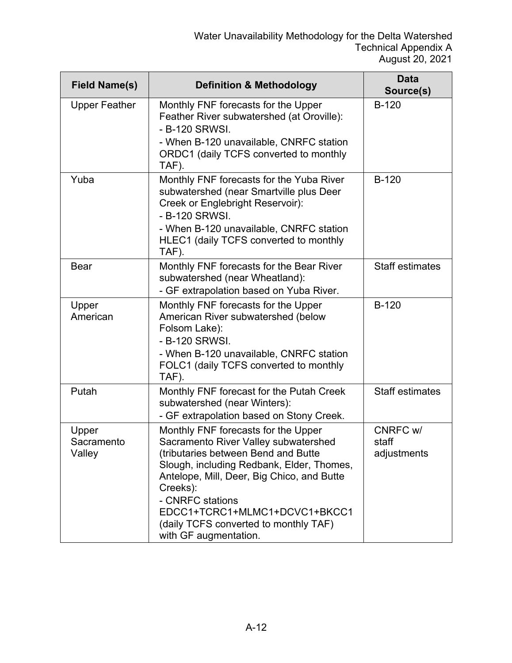| <b>Field Name(s)</b>          | <b>Definition &amp; Methodology</b>                                                                                                                                                                                                                                                                                                              | <b>Data</b><br>Source(s)         |
|-------------------------------|--------------------------------------------------------------------------------------------------------------------------------------------------------------------------------------------------------------------------------------------------------------------------------------------------------------------------------------------------|----------------------------------|
| <b>Upper Feather</b>          | Monthly FNF forecasts for the Upper<br>Feather River subwatershed (at Oroville):<br>- B-120 SRWSI.<br>- When B-120 unavailable, CNRFC station<br>ORDC1 (daily TCFS converted to monthly<br>TAF).                                                                                                                                                 | $B-120$                          |
| Yuba                          | Monthly FNF forecasts for the Yuba River<br>subwatershed (near Smartville plus Deer<br>Creek or Englebright Reservoir):<br>- B-120 SRWSI.<br>- When B-120 unavailable, CNRFC station<br>HLEC1 (daily TCFS converted to monthly<br>TAF).                                                                                                          | <b>B-120</b>                     |
| <b>Bear</b>                   | Monthly FNF forecasts for the Bear River<br>subwatershed (near Wheatland):<br>- GF extrapolation based on Yuba River.                                                                                                                                                                                                                            | <b>Staff estimates</b>           |
| Upper<br>American             | Monthly FNF forecasts for the Upper<br>American River subwatershed (below<br>Folsom Lake):<br>- B-120 SRWSI.<br>- When B-120 unavailable, CNRFC station<br>FOLC1 (daily TCFS converted to monthly<br>TAF).                                                                                                                                       | $B-120$                          |
| Putah                         | Monthly FNF forecast for the Putah Creek<br>subwatershed (near Winters):<br>- GF extrapolation based on Stony Creek.                                                                                                                                                                                                                             | <b>Staff estimates</b>           |
| Upper<br>Sacramento<br>Valley | Monthly FNF forecasts for the Upper<br>Sacramento River Valley subwatershed<br>(tributaries between Bend and Butte<br>Slough, including Redbank, Elder, Thomes,<br>Antelope, Mill, Deer, Big Chico, and Butte<br>Creeks):<br>- CNRFC stations<br>EDCC1+TCRC1+MLMC1+DCVC1+BKCC1<br>(daily TCFS converted to monthly TAF)<br>with GF augmentation. | CNRFC w/<br>staff<br>adjustments |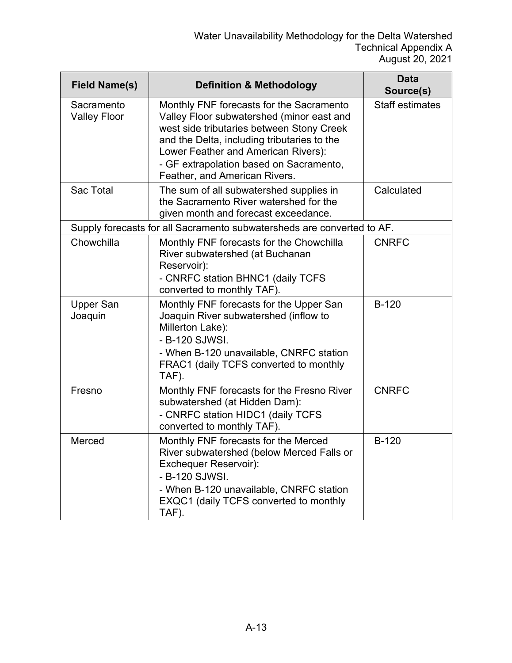| <b>Field Name(s)</b>              | <b>Definition &amp; Methodology</b>                                                                                                                                                                                                                                                                  | <b>Data</b><br>Source(s) |
|-----------------------------------|------------------------------------------------------------------------------------------------------------------------------------------------------------------------------------------------------------------------------------------------------------------------------------------------------|--------------------------|
| Sacramento<br><b>Valley Floor</b> | Monthly FNF forecasts for the Sacramento<br>Valley Floor subwatershed (minor east and<br>west side tributaries between Stony Creek<br>and the Delta, including tributaries to the<br>Lower Feather and American Rivers):<br>- GF extrapolation based on Sacramento,<br>Feather, and American Rivers. | <b>Staff estimates</b>   |
| <b>Sac Total</b>                  | The sum of all subwatershed supplies in<br>the Sacramento River watershed for the<br>given month and forecast exceedance.                                                                                                                                                                            | Calculated               |
|                                   | Supply forecasts for all Sacramento subwatersheds are converted to AF.                                                                                                                                                                                                                               |                          |
| Chowchilla                        | Monthly FNF forecasts for the Chowchilla<br>River subwatershed (at Buchanan<br>Reservoir):<br>- CNRFC station BHNC1 (daily TCFS<br>converted to monthly TAF).                                                                                                                                        | <b>CNRFC</b>             |
| <b>Upper San</b><br>Joaquin       | Monthly FNF forecasts for the Upper San<br>Joaquin River subwatershed (inflow to<br>Millerton Lake):<br>- B-120 SJWSI.<br>- When B-120 unavailable, CNRFC station<br>FRAC1 (daily TCFS converted to monthly<br>TAF).                                                                                 | $B-120$                  |
| Fresno                            | Monthly FNF forecasts for the Fresno River<br>subwatershed (at Hidden Dam):<br>- CNRFC station HIDC1 (daily TCFS<br>converted to monthly TAF).                                                                                                                                                       | <b>CNRFC</b>             |
| Merced                            | Monthly FNF forecasts for the Merced<br>River subwatershed (below Merced Falls or<br><b>Exchequer Reservoir):</b><br>- B-120 SJWSI.<br>- When B-120 unavailable, CNRFC station<br>EXQC1 (daily TCFS converted to monthly<br>TAF).                                                                    | <b>B-120</b>             |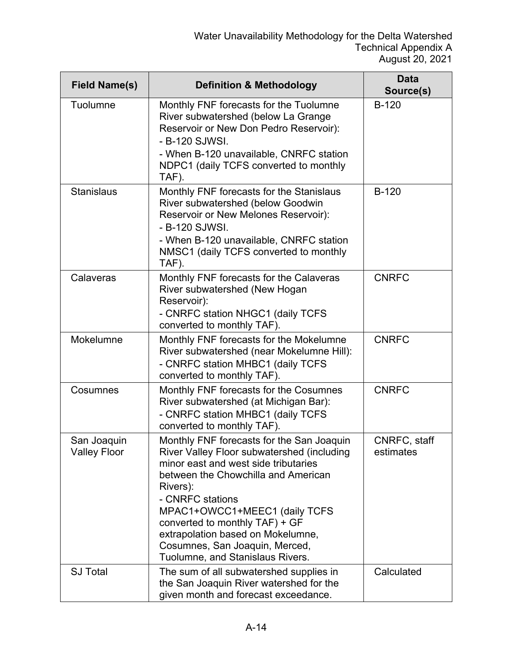| <b>Field Name(s)</b>               | <b>Definition &amp; Methodology</b>                                                                                                                                                                                                                                                                                                                                                  | <b>Data</b><br>Source(s)  |
|------------------------------------|--------------------------------------------------------------------------------------------------------------------------------------------------------------------------------------------------------------------------------------------------------------------------------------------------------------------------------------------------------------------------------------|---------------------------|
| Tuolumne                           | Monthly FNF forecasts for the Tuolumne<br>River subwatershed (below La Grange<br>Reservoir or New Don Pedro Reservoir):<br>- B-120 SJWSI.<br>- When B-120 unavailable, CNRFC station<br>NDPC1 (daily TCFS converted to monthly<br>TAF).                                                                                                                                              | <b>B-120</b>              |
| <b>Stanislaus</b>                  | Monthly FNF forecasts for the Stanislaus<br>River subwatershed (below Goodwin<br>Reservoir or New Melones Reservoir):<br>- B-120 SJWSI.<br>- When B-120 unavailable, CNRFC station<br>NMSC1 (daily TCFS converted to monthly<br>TAF).                                                                                                                                                | $B-120$                   |
| Calaveras                          | Monthly FNF forecasts for the Calaveras<br>River subwatershed (New Hogan<br>Reservoir):<br>- CNRFC station NHGC1 (daily TCFS<br>converted to monthly TAF).                                                                                                                                                                                                                           | <b>CNRFC</b>              |
| Mokelumne                          | Monthly FNF forecasts for the Mokelumne<br>River subwatershed (near Mokelumne Hill):<br>- CNRFC station MHBC1 (daily TCFS<br>converted to monthly TAF).                                                                                                                                                                                                                              | <b>CNRFC</b>              |
| Cosumnes                           | Monthly FNF forecasts for the Cosumnes<br>River subwatershed (at Michigan Bar):<br>- CNRFC station MHBC1 (daily TCFS<br>converted to monthly TAF).                                                                                                                                                                                                                                   | <b>CNRFC</b>              |
| San Joaquin<br><b>Valley Floor</b> | Monthly FNF forecasts for the San Joaquin<br>River Valley Floor subwatershed (including<br>minor east and west side tributaries<br>between the Chowchilla and American<br>Rivers):<br>- CNRFC stations<br>MPAC1+OWCC1+MEEC1 (daily TCFS<br>converted to monthly TAF) + GF<br>extrapolation based on Mokelumne,<br>Cosumnes, San Joaquin, Merced,<br>Tuolumne, and Stanislaus Rivers. | CNRFC, staff<br>estimates |
| <b>SJ Total</b>                    | The sum of all subwatershed supplies in<br>the San Joaquin River watershed for the<br>given month and forecast exceedance.                                                                                                                                                                                                                                                           | Calculated                |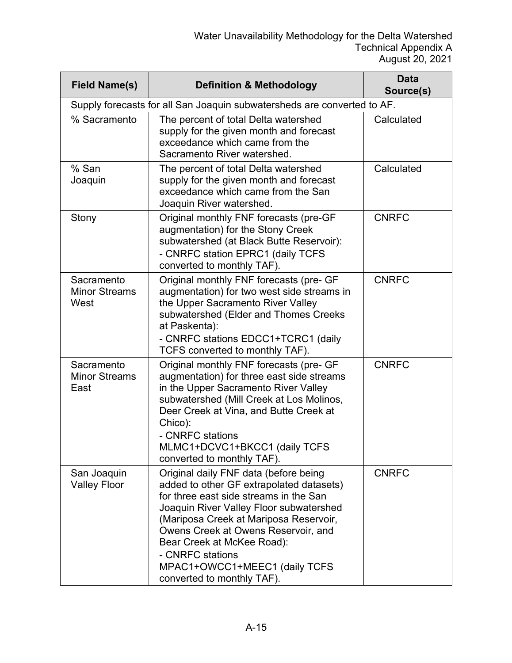| <b>Field Name(s)</b>                       | <b>Definition &amp; Methodology</b>                                                                                                                                                                                                                                                                                                                                      | <b>Data</b><br>Source(s) |
|--------------------------------------------|--------------------------------------------------------------------------------------------------------------------------------------------------------------------------------------------------------------------------------------------------------------------------------------------------------------------------------------------------------------------------|--------------------------|
|                                            | Supply forecasts for all San Joaquin subwatersheds are converted to AF.                                                                                                                                                                                                                                                                                                  |                          |
| % Sacramento                               | The percent of total Delta watershed<br>supply for the given month and forecast<br>exceedance which came from the<br>Sacramento River watershed.                                                                                                                                                                                                                         | Calculated               |
| % San<br>Joaquin                           | The percent of total Delta watershed<br>supply for the given month and forecast<br>exceedance which came from the San<br>Joaquin River watershed.                                                                                                                                                                                                                        | Calculated               |
| Stony                                      | Original monthly FNF forecasts (pre-GF<br>augmentation) for the Stony Creek<br>subwatershed (at Black Butte Reservoir):<br>- CNRFC station EPRC1 (daily TCFS<br>converted to monthly TAF).                                                                                                                                                                               | <b>CNRFC</b>             |
| Sacramento<br><b>Minor Streams</b><br>West | Original monthly FNF forecasts (pre- GF<br>augmentation) for two west side streams in<br>the Upper Sacramento River Valley<br>subwatershed (Elder and Thomes Creeks<br>at Paskenta):<br>- CNRFC stations EDCC1+TCRC1 (daily<br>TCFS converted to monthly TAF).                                                                                                           | <b>CNRFC</b>             |
| Sacramento<br><b>Minor Streams</b><br>East | Original monthly FNF forecasts (pre- GF<br>augmentation) for three east side streams<br>in the Upper Sacramento River Valley<br>subwatershed (Mill Creek at Los Molinos,<br>Deer Creek at Vina, and Butte Creek at<br>Chico):<br>- CNRFC stations<br>MLMC1+DCVC1+BKCC1 (daily TCFS<br>converted to monthly TAF).                                                         | <b>CNRFC</b>             |
| San Joaquin<br><b>Valley Floor</b>         | Original daily FNF data (before being<br>added to other GF extrapolated datasets)<br>for three east side streams in the San<br>Joaquin River Valley Floor subwatershed<br>(Mariposa Creek at Mariposa Reservoir,<br>Owens Creek at Owens Reservoir, and<br>Bear Creek at McKee Road):<br>- CNRFC stations<br>MPAC1+OWCC1+MEEC1 (daily TCFS<br>converted to monthly TAF). | <b>CNRFC</b>             |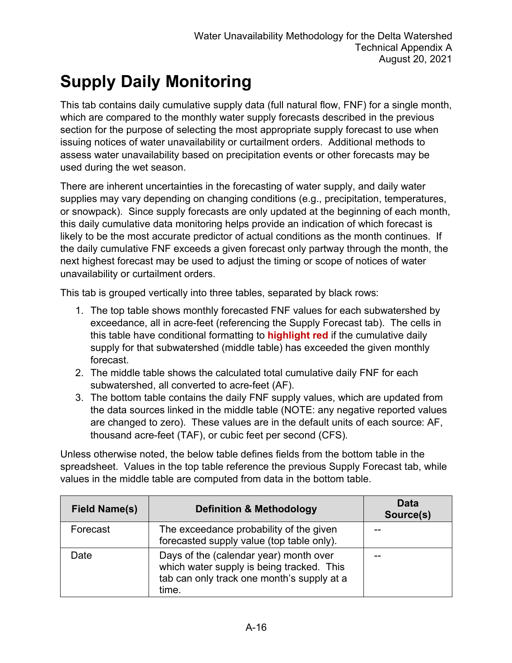## **Supply Daily Monitoring**

This tab contains daily cumulative supply data (full natural flow, FNF) for a single month, which are compared to the monthly water supply forecasts described in the previous section for the purpose of selecting the most appropriate supply forecast to use when issuing notices of water unavailability or curtailment orders. Additional methods to assess water unavailability based on precipitation events or other forecasts may be used during the wet season.

There are inherent uncertainties in the forecasting of water supply, and daily water supplies may vary depending on changing conditions (e.g., precipitation, temperatures, or snowpack). Since supply forecasts are only updated at the beginning of each month, this daily cumulative data monitoring helps provide an indication of which forecast is likely to be the most accurate predictor of actual conditions as the month continues. If the daily cumulative FNF exceeds a given forecast only partway through the month, the next highest forecast may be used to adjust the timing or scope of notices of water unavailability or curtailment orders.

This tab is grouped vertically into three tables, separated by black rows:

- 1. The top table shows monthly forecasted FNF values for each subwatershed by exceedance, all in acre-feet (referencing the Supply Forecast tab). The cells in this table have conditional formatting to **highlight red** if the cumulative daily supply for that subwatershed (middle table) has exceeded the given monthly forecast.
- 2. The middle table shows the calculated total cumulative daily FNF for each subwatershed, all converted to acre-feet (AF).
- 3. The bottom table contains the daily FNF supply values, which are updated from the data sources linked in the middle table (NOTE: any negative reported values are changed to zero). These values are in the default units of each source: AF, thousand acre-feet (TAF), or cubic feet per second (CFS).

Unless otherwise noted, the below table defines fields from the bottom table in the spreadsheet. Values in the top table reference the previous Supply Forecast tab, while values in the middle table are computed from data in the bottom table.

| <b>Field Name(s)</b> | <b>Definition &amp; Methodology</b>                                                                                                        | <b>Data</b><br>Source(s) |
|----------------------|--------------------------------------------------------------------------------------------------------------------------------------------|--------------------------|
| Forecast             | The exceedance probability of the given<br>forecasted supply value (top table only).                                                       |                          |
| Date                 | Days of the (calendar year) month over<br>which water supply is being tracked. This<br>tab can only track one month's supply at a<br>time. |                          |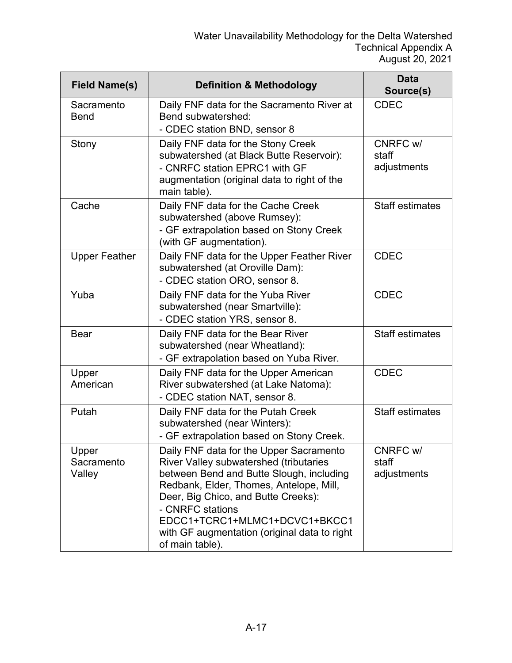| <b>Field Name(s)</b>          | <b>Definition &amp; Methodology</b>                                                                                                                                                                                                                                                                                                     | <b>Data</b><br>Source(s)         |
|-------------------------------|-----------------------------------------------------------------------------------------------------------------------------------------------------------------------------------------------------------------------------------------------------------------------------------------------------------------------------------------|----------------------------------|
| Sacramento<br><b>Bend</b>     | Daily FNF data for the Sacramento River at<br>Bend subwatershed:<br>- CDEC station BND, sensor 8                                                                                                                                                                                                                                        | <b>CDEC</b>                      |
| Stony                         | Daily FNF data for the Stony Creek<br>subwatershed (at Black Butte Reservoir):<br>- CNRFC station EPRC1 with GF<br>augmentation (original data to right of the<br>main table).                                                                                                                                                          | CNRFC w/<br>staff<br>adjustments |
| Cache                         | Daily FNF data for the Cache Creek<br>subwatershed (above Rumsey):<br>- GF extrapolation based on Stony Creek<br>(with GF augmentation).                                                                                                                                                                                                | <b>Staff estimates</b>           |
| <b>Upper Feather</b>          | Daily FNF data for the Upper Feather River<br>subwatershed (at Oroville Dam):<br>- CDEC station ORO, sensor 8.                                                                                                                                                                                                                          | <b>CDEC</b>                      |
| Yuba                          | Daily FNF data for the Yuba River<br>subwatershed (near Smartville):<br>- CDEC station YRS, sensor 8.                                                                                                                                                                                                                                   | <b>CDEC</b>                      |
| <b>Bear</b>                   | Daily FNF data for the Bear River<br>subwatershed (near Wheatland):<br>- GF extrapolation based on Yuba River.                                                                                                                                                                                                                          | <b>Staff estimates</b>           |
| Upper<br>American             | Daily FNF data for the Upper American<br>River subwatershed (at Lake Natoma):<br>- CDEC station NAT, sensor 8.                                                                                                                                                                                                                          | <b>CDEC</b>                      |
| Putah                         | Daily FNF data for the Putah Creek<br>subwatershed (near Winters):<br>- GF extrapolation based on Stony Creek.                                                                                                                                                                                                                          | <b>Staff estimates</b>           |
| Upper<br>Sacramento<br>Valley | Daily FNF data for the Upper Sacramento<br>River Valley subwatershed (tributaries<br>between Bend and Butte Slough, including<br>Redbank, Elder, Thomes, Antelope, Mill,<br>Deer, Big Chico, and Butte Creeks):<br>- CNRFC stations<br>EDCC1+TCRC1+MLMC1+DCVC1+BKCC1<br>with GF augmentation (original data to right<br>of main table). | CNRFC w/<br>staff<br>adjustments |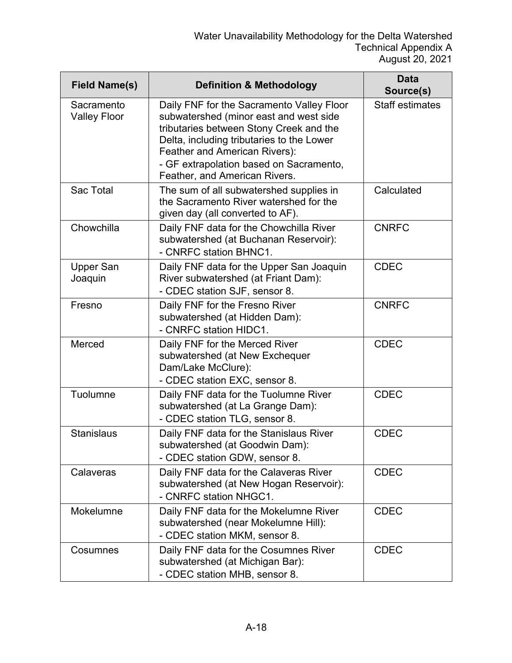| <b>Field Name(s)</b>              | <b>Definition &amp; Methodology</b>                                                                                                                                                                                                                                                      | <b>Data</b><br>Source(s) |
|-----------------------------------|------------------------------------------------------------------------------------------------------------------------------------------------------------------------------------------------------------------------------------------------------------------------------------------|--------------------------|
| Sacramento<br><b>Valley Floor</b> | Daily FNF for the Sacramento Valley Floor<br>subwatershed (minor east and west side<br>tributaries between Stony Creek and the<br>Delta, including tributaries to the Lower<br>Feather and American Rivers):<br>- GF extrapolation based on Sacramento,<br>Feather, and American Rivers. | <b>Staff estimates</b>   |
| Sac Total                         | The sum of all subwatershed supplies in<br>the Sacramento River watershed for the<br>given day (all converted to AF).                                                                                                                                                                    | Calculated               |
| Chowchilla                        | Daily FNF data for the Chowchilla River<br>subwatershed (at Buchanan Reservoir):<br>- CNRFC station BHNC1.                                                                                                                                                                               | <b>CNRFC</b>             |
| <b>Upper San</b><br>Joaquin       | Daily FNF data for the Upper San Joaquin<br>River subwatershed (at Friant Dam):<br>- CDEC station SJF, sensor 8.                                                                                                                                                                         | <b>CDEC</b>              |
| Fresno                            | Daily FNF for the Fresno River<br>subwatershed (at Hidden Dam):<br>- CNRFC station HIDC1.                                                                                                                                                                                                | <b>CNRFC</b>             |
| Merced                            | Daily FNF for the Merced River<br>subwatershed (at New Exchequer<br>Dam/Lake McClure):<br>- CDEC station EXC, sensor 8.                                                                                                                                                                  | <b>CDEC</b>              |
| Tuolumne                          | Daily FNF data for the Tuolumne River<br>subwatershed (at La Grange Dam):<br>- CDEC station TLG, sensor 8.                                                                                                                                                                               | <b>CDEC</b>              |
| <b>Stanislaus</b>                 | Daily FNF data for the Stanislaus River<br>subwatershed (at Goodwin Dam):<br>- CDEC station GDW, sensor 8.                                                                                                                                                                               | <b>CDEC</b>              |
| Calaveras                         | Daily FNF data for the Calaveras River<br>subwatershed (at New Hogan Reservoir):<br>- CNRFC station NHGC1.                                                                                                                                                                               | <b>CDEC</b>              |
| Mokelumne                         | Daily FNF data for the Mokelumne River<br>subwatershed (near Mokelumne Hill):<br>- CDEC station MKM, sensor 8.                                                                                                                                                                           | <b>CDEC</b>              |
| Cosumnes                          | Daily FNF data for the Cosumnes River<br>subwatershed (at Michigan Bar):<br>- CDEC station MHB, sensor 8.                                                                                                                                                                                | <b>CDEC</b>              |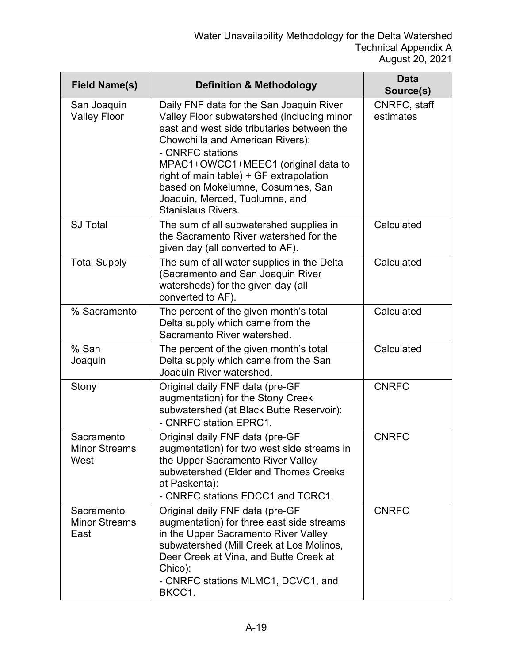| <b>Field Name(s)</b>                       | <b>Definition &amp; Methodology</b>                                                                                                                                                                                                                                                                                                                                                | <b>Data</b><br>Source(s)  |
|--------------------------------------------|------------------------------------------------------------------------------------------------------------------------------------------------------------------------------------------------------------------------------------------------------------------------------------------------------------------------------------------------------------------------------------|---------------------------|
| San Joaquin<br><b>Valley Floor</b>         | Daily FNF data for the San Joaquin River<br>Valley Floor subwatershed (including minor<br>east and west side tributaries between the<br>Chowchilla and American Rivers):<br>- CNRFC stations<br>MPAC1+OWCC1+MEEC1 (original data to<br>right of main table) + GF extrapolation<br>based on Mokelumne, Cosumnes, San<br>Joaquin, Merced, Tuolumne, and<br><b>Stanislaus Rivers.</b> | CNRFC, staff<br>estimates |
| <b>SJ Total</b>                            | The sum of all subwatershed supplies in<br>the Sacramento River watershed for the<br>given day (all converted to AF).                                                                                                                                                                                                                                                              | Calculated                |
| <b>Total Supply</b>                        | The sum of all water supplies in the Delta<br>(Sacramento and San Joaquin River<br>watersheds) for the given day (all<br>converted to AF).                                                                                                                                                                                                                                         | Calculated                |
| % Sacramento                               | The percent of the given month's total<br>Delta supply which came from the<br>Sacramento River watershed.                                                                                                                                                                                                                                                                          | Calculated                |
| % San<br>Joaquin                           | The percent of the given month's total<br>Delta supply which came from the San<br>Joaquin River watershed.                                                                                                                                                                                                                                                                         | Calculated                |
| Stony                                      | Original daily FNF data (pre-GF<br>augmentation) for the Stony Creek<br>subwatershed (at Black Butte Reservoir):<br>- CNRFC station EPRC1.                                                                                                                                                                                                                                         | <b>CNRFC</b>              |
| Sacramento<br><b>Minor Streams</b><br>West | Original daily FNF data (pre-GF<br>augmentation) for two west side streams in<br>the Upper Sacramento River Valley<br>subwatershed (Elder and Thomes Creeks<br>at Paskenta):<br>- CNRFC stations EDCC1 and TCRC1.                                                                                                                                                                  | <b>CNRFC</b>              |
| Sacramento<br><b>Minor Streams</b><br>East | Original daily FNF data (pre-GF<br>augmentation) for three east side streams<br>in the Upper Sacramento River Valley<br>subwatershed (Mill Creek at Los Molinos,<br>Deer Creek at Vina, and Butte Creek at<br>Chico):<br>- CNRFC stations MLMC1, DCVC1, and<br>BKCC1.                                                                                                              | <b>CNRFC</b>              |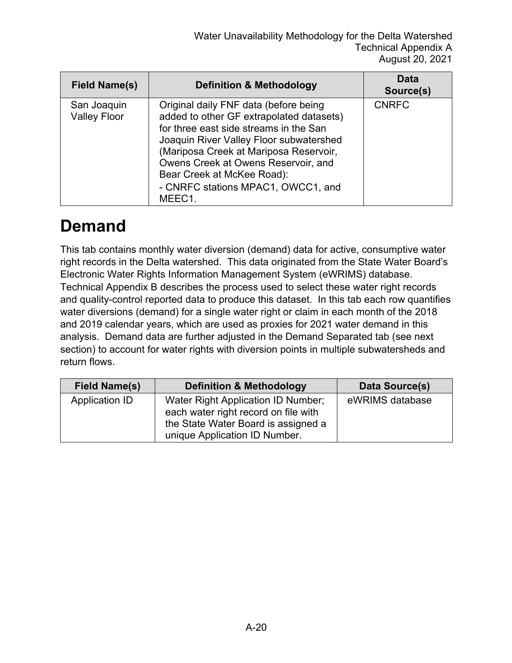| <b>Field Name(s)</b>               | <b>Definition &amp; Methodology</b>                                                                                                                                                                                                                                                                                                   | Data<br>Source(s) |
|------------------------------------|---------------------------------------------------------------------------------------------------------------------------------------------------------------------------------------------------------------------------------------------------------------------------------------------------------------------------------------|-------------------|
| San Joaquin<br><b>Valley Floor</b> | Original daily FNF data (before being<br>added to other GF extrapolated datasets)<br>for three east side streams in the San<br>Joaquin River Valley Floor subwatershed<br>(Mariposa Creek at Mariposa Reservoir,<br>Owens Creek at Owens Reservoir, and<br>Bear Creek at McKee Road):<br>- CNRFC stations MPAC1, OWCC1, and<br>MEEC1. | <b>CNRFC</b>      |

#### **Demand**

This tab contains monthly water diversion (demand) data for active, consumptive water right records in the Delta watershed. This data originated from the State Water Board's Electronic Water Rights Information Management System (eWRIMS) database. Technical Appendix B describes the process used to select these water right records and quality-control reported data to produce this dataset. In this tab each row quantifies water diversions (demand) for a single water right or claim in each month of the 2018 and 2019 calendar years, which are used as proxies for 2021 water demand in this analysis. Demand data are further adjusted in the Demand Separated tab (see next section) to account for water rights with diversion points in multiple subwatersheds and return flows.

| <b>Field Name(s)</b> | <b>Definition &amp; Methodology</b>                                                                                                                | Data Source(s)  |
|----------------------|----------------------------------------------------------------------------------------------------------------------------------------------------|-----------------|
| Application ID       | Water Right Application ID Number;<br>each water right record on file with<br>the State Water Board is assigned a<br>unique Application ID Number. | eWRIMS database |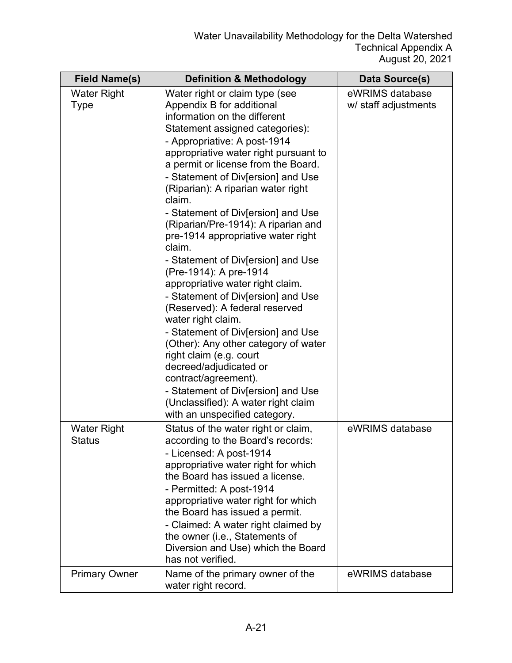| <b>Field Name(s)</b>                | <b>Definition &amp; Methodology</b>                                                                                                                                                                                                                                                                                                                                                                                                                                                                                                                                                                                                                                                                                                                                                                                                                                                                                                          | <b>Data Source(s)</b>                   |
|-------------------------------------|----------------------------------------------------------------------------------------------------------------------------------------------------------------------------------------------------------------------------------------------------------------------------------------------------------------------------------------------------------------------------------------------------------------------------------------------------------------------------------------------------------------------------------------------------------------------------------------------------------------------------------------------------------------------------------------------------------------------------------------------------------------------------------------------------------------------------------------------------------------------------------------------------------------------------------------------|-----------------------------------------|
| <b>Water Right</b><br><b>Type</b>   | Water right or claim type (see<br>Appendix B for additional<br>information on the different<br>Statement assigned categories):<br>- Appropriative: A post-1914<br>appropriative water right pursuant to<br>a permit or license from the Board.<br>- Statement of Div[ersion] and Use<br>(Riparian): A riparian water right<br>claim.<br>- Statement of Div[ersion] and Use<br>(Riparian/Pre-1914): A riparian and<br>pre-1914 appropriative water right<br>claim.<br>- Statement of Div[ersion] and Use<br>(Pre-1914): A pre-1914<br>appropriative water right claim.<br>- Statement of Div[ersion] and Use<br>(Reserved): A federal reserved<br>water right claim.<br>- Statement of Div[ersion] and Use<br>(Other): Any other category of water<br>right claim (e.g. court<br>decreed/adjudicated or<br>contract/agreement).<br>- Statement of Div[ersion] and Use<br>(Unclassified): A water right claim<br>with an unspecified category. | eWRIMS database<br>w/ staff adjustments |
| <b>Water Right</b><br><b>Status</b> | Status of the water right or claim,<br>according to the Board's records:<br>- Licensed: A post-1914<br>appropriative water right for which<br>the Board has issued a license.<br>- Permitted: A post-1914<br>appropriative water right for which<br>the Board has issued a permit.<br>- Claimed: A water right claimed by<br>the owner (i.e., Statements of<br>Diversion and Use) which the Board<br>has not verified.                                                                                                                                                                                                                                                                                                                                                                                                                                                                                                                       | eWRIMS database                         |
| <b>Primary Owner</b>                | Name of the primary owner of the<br>water right record.                                                                                                                                                                                                                                                                                                                                                                                                                                                                                                                                                                                                                                                                                                                                                                                                                                                                                      | eWRIMS database                         |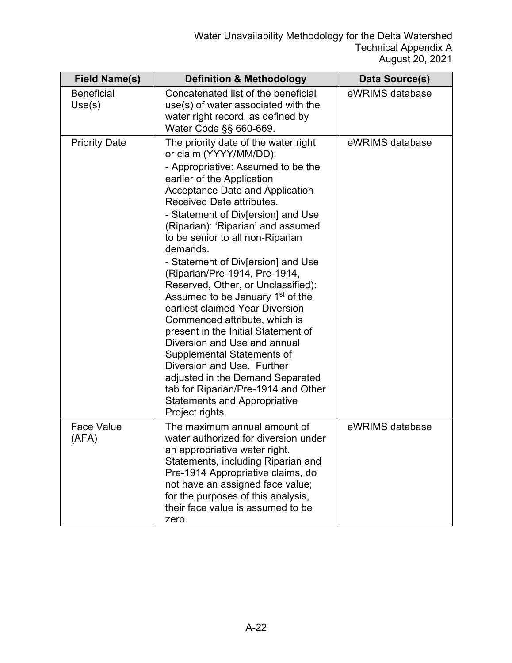| <b>Field Name(s)</b>        | <b>Definition &amp; Methodology</b>                                                                                                                                                                                                                                                                                                                                                                                                                                                                                                                                                                                                                                                                                                                                                                                                            | Data Source(s)  |
|-----------------------------|------------------------------------------------------------------------------------------------------------------------------------------------------------------------------------------------------------------------------------------------------------------------------------------------------------------------------------------------------------------------------------------------------------------------------------------------------------------------------------------------------------------------------------------------------------------------------------------------------------------------------------------------------------------------------------------------------------------------------------------------------------------------------------------------------------------------------------------------|-----------------|
| <b>Beneficial</b><br>Use(s) | Concatenated list of the beneficial<br>use(s) of water associated with the<br>water right record, as defined by<br>Water Code §§ 660-669.                                                                                                                                                                                                                                                                                                                                                                                                                                                                                                                                                                                                                                                                                                      | eWRIMS database |
| <b>Priority Date</b>        | The priority date of the water right<br>or claim (YYYY/MM/DD):<br>- Appropriative: Assumed to be the<br>earlier of the Application<br><b>Acceptance Date and Application</b><br>Received Date attributes.<br>- Statement of Div[ersion] and Use<br>(Riparian): 'Riparian' and assumed<br>to be senior to all non-Riparian<br>demands.<br>- Statement of Div[ersion] and Use<br>(Riparian/Pre-1914, Pre-1914,<br>Reserved, Other, or Unclassified):<br>Assumed to be January 1 <sup>st</sup> of the<br>earliest claimed Year Diversion<br>Commenced attribute, which is<br>present in the Initial Statement of<br>Diversion and Use and annual<br>Supplemental Statements of<br>Diversion and Use. Further<br>adjusted in the Demand Separated<br>tab for Riparian/Pre-1914 and Other<br><b>Statements and Appropriative</b><br>Project rights. | eWRIMS database |
| <b>Face Value</b><br>(AFA)  | The maximum annual amount of<br>water authorized for diversion under<br>an appropriative water right.<br>Statements, including Riparian and<br>Pre-1914 Appropriative claims, do<br>not have an assigned face value;<br>for the purposes of this analysis,<br>their face value is assumed to be<br>zero.                                                                                                                                                                                                                                                                                                                                                                                                                                                                                                                                       | eWRIMS database |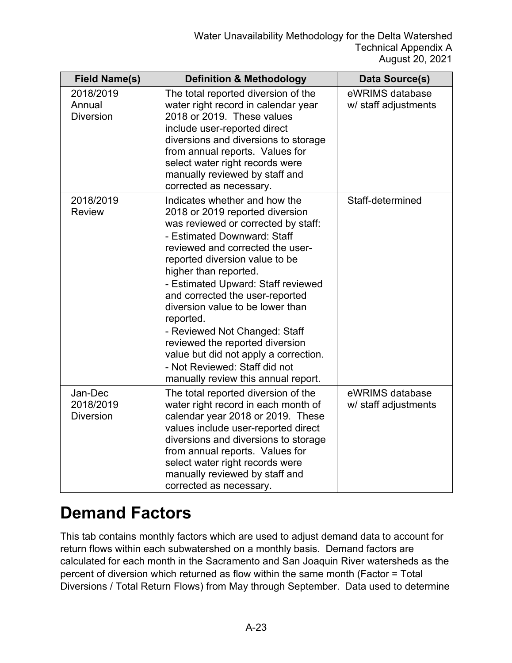| <b>Field Name(s)</b>                     | <b>Definition &amp; Methodology</b>                                                                                                                                                                                                                                                                                                                                                                                                                                                                                                                  | Data Source(s)                          |
|------------------------------------------|------------------------------------------------------------------------------------------------------------------------------------------------------------------------------------------------------------------------------------------------------------------------------------------------------------------------------------------------------------------------------------------------------------------------------------------------------------------------------------------------------------------------------------------------------|-----------------------------------------|
| 2018/2019<br>Annual<br><b>Diversion</b>  | The total reported diversion of the<br>water right record in calendar year<br>2018 or 2019. These values<br>include user-reported direct<br>diversions and diversions to storage<br>from annual reports. Values for<br>select water right records were<br>manually reviewed by staff and<br>corrected as necessary.                                                                                                                                                                                                                                  | eWRIMS database<br>w/ staff adjustments |
| 2018/2019<br><b>Review</b>               | Indicates whether and how the<br>2018 or 2019 reported diversion<br>was reviewed or corrected by staff:<br>- Estimated Downward: Staff<br>reviewed and corrected the user-<br>reported diversion value to be<br>higher than reported.<br>- Estimated Upward: Staff reviewed<br>and corrected the user-reported<br>diversion value to be lower than<br>reported.<br>- Reviewed Not Changed: Staff<br>reviewed the reported diversion<br>value but did not apply a correction.<br>- Not Reviewed: Staff did not<br>manually review this annual report. | Staff-determined                        |
| Jan-Dec<br>2018/2019<br><b>Diversion</b> | The total reported diversion of the<br>water right record in each month of<br>calendar year 2018 or 2019. These<br>values include user-reported direct<br>diversions and diversions to storage<br>from annual reports. Values for<br>select water right records were<br>manually reviewed by staff and<br>corrected as necessary.                                                                                                                                                                                                                    | eWRIMS database<br>w/ staff adjustments |

#### **Demand Factors**

This tab contains monthly factors which are used to adjust demand data to account for return flows within each subwatershed on a monthly basis. Demand factors are calculated for each month in the Sacramento and San Joaquin River watersheds as the percent of diversion which returned as flow within the same month (Factor = Total Diversions / Total Return Flows) from May through September. Data used to determine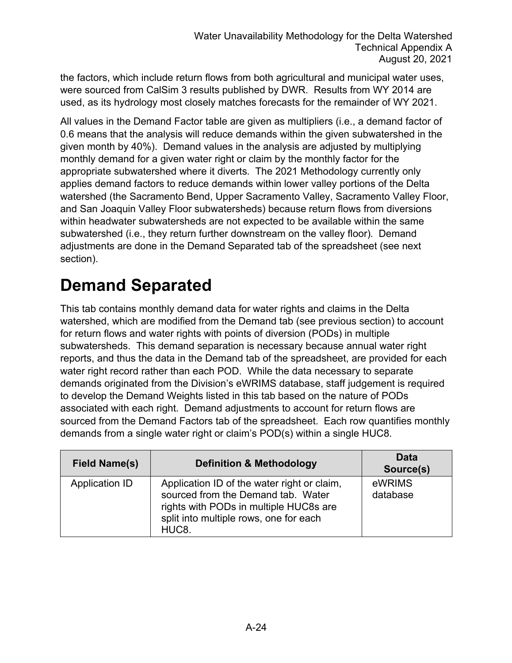the factors, which include return flows from both agricultural and municipal water uses, were sourced from CalSim 3 results published by DWR. Results from WY 2014 are used, as its hydrology most closely matches forecasts for the remainder of WY 2021.

All values in the Demand Factor table are given as multipliers (i.e., a demand factor of 0.6 means that the analysis will reduce demands within the given subwatershed in the given month by 40%). Demand values in the analysis are adjusted by multiplying monthly demand for a given water right or claim by the monthly factor for the appropriate subwatershed where it diverts. The 2021 Methodology currently only applies demand factors to reduce demands within lower valley portions of the Delta watershed (the Sacramento Bend, Upper Sacramento Valley, Sacramento Valley Floor, and San Joaquin Valley Floor subwatersheds) because return flows from diversions within headwater subwatersheds are not expected to be available within the same subwatershed (i.e., they return further downstream on the valley floor). Demand adjustments are done in the Demand Separated tab of the spreadsheet (see next section).

#### **Demand Separated**

This tab contains monthly demand data for water rights and claims in the Delta watershed, which are modified from the Demand tab (see previous section) to account for return flows and water rights with points of diversion (PODs) in multiple subwatersheds. This demand separation is necessary because annual water right reports, and thus the data in the Demand tab of the spreadsheet, are provided for each water right record rather than each POD. While the data necessary to separate demands originated from the Division's eWRIMS database, staff judgement is required to develop the Demand Weights listed in this tab based on the nature of PODs associated with each right. Demand adjustments to account for return flows are sourced from the Demand Factors tab of the spreadsheet. Each row quantifies monthly demands from a single water right or claim's POD(s) within a single HUC8.

| <b>Field Name(s)</b> | <b>Definition &amp; Methodology</b>                                                                                                                                                         | Data<br>Source(s)  |
|----------------------|---------------------------------------------------------------------------------------------------------------------------------------------------------------------------------------------|--------------------|
| Application ID       | Application ID of the water right or claim,<br>sourced from the Demand tab. Water<br>rights with PODs in multiple HUC8s are<br>split into multiple rows, one for each<br>HUC <sub>8</sub> . | eWRIMS<br>database |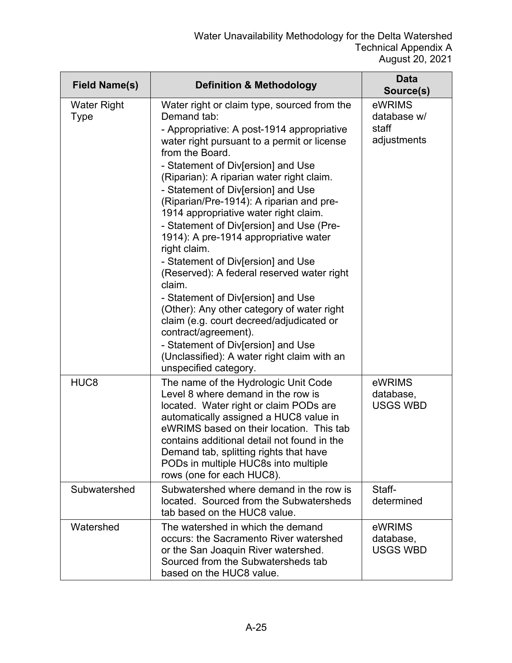| <b>Field Name(s)</b>       | <b>Definition &amp; Methodology</b>                                                                                                                                                                                                                                                                                                                                                                                                                                                                                                                                                                                                                                                                                                                                                                                                                               | <b>Data</b><br>Source(s)                      |
|----------------------------|-------------------------------------------------------------------------------------------------------------------------------------------------------------------------------------------------------------------------------------------------------------------------------------------------------------------------------------------------------------------------------------------------------------------------------------------------------------------------------------------------------------------------------------------------------------------------------------------------------------------------------------------------------------------------------------------------------------------------------------------------------------------------------------------------------------------------------------------------------------------|-----------------------------------------------|
| <b>Water Right</b><br>Type | Water right or claim type, sourced from the<br>Demand tab:<br>- Appropriative: A post-1914 appropriative<br>water right pursuant to a permit or license<br>from the Board.<br>- Statement of Div[ersion] and Use<br>(Riparian): A riparian water right claim.<br>- Statement of Div[ersion] and Use<br>(Riparian/Pre-1914): A riparian and pre-<br>1914 appropriative water right claim.<br>- Statement of Div[ersion] and Use (Pre-<br>1914): A pre-1914 appropriative water<br>right claim.<br>- Statement of Div[ersion] and Use<br>(Reserved): A federal reserved water right<br>claim.<br>- Statement of Div[ersion] and Use<br>(Other): Any other category of water right<br>claim (e.g. court decreed/adjudicated or<br>contract/agreement).<br>- Statement of Div[ersion] and Use<br>(Unclassified): A water right claim with an<br>unspecified category. | eWRIMS<br>database w/<br>staff<br>adjustments |
| HUC <sub>8</sub>           | The name of the Hydrologic Unit Code<br>Level 8 where demand in the row is<br>located. Water right or claim PODs are<br>automatically assigned a HUC8 value in<br>eWRIMS based on their location. This tab<br>contains additional detail not found in the<br>Demand tab, splitting rights that have<br>PODs in multiple HUC8s into multiple<br>rows (one for each HUC8).                                                                                                                                                                                                                                                                                                                                                                                                                                                                                          | eWRIMS<br>database,<br><b>USGS WBD</b>        |
| Subwatershed               | Subwatershed where demand in the row is<br>located. Sourced from the Subwatersheds<br>tab based on the HUC8 value.                                                                                                                                                                                                                                                                                                                                                                                                                                                                                                                                                                                                                                                                                                                                                | Staff-<br>determined                          |
| Watershed                  | The watershed in which the demand<br>occurs: the Sacramento River watershed<br>or the San Joaquin River watershed.<br>Sourced from the Subwatersheds tab<br>based on the HUC8 value.                                                                                                                                                                                                                                                                                                                                                                                                                                                                                                                                                                                                                                                                              | eWRIMS<br>database,<br><b>USGS WBD</b>        |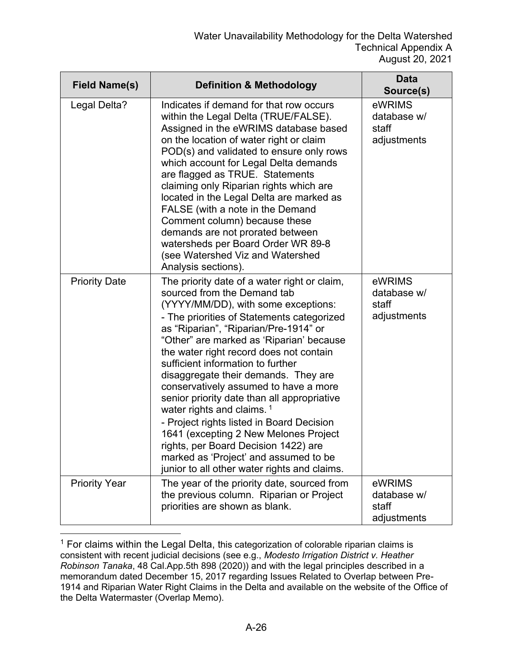| <b>Field Name(s)</b> | <b>Definition &amp; Methodology</b>                                                                                                                                                                                                                                                                                                                                                                                                                                                                                                                                                                                                                                                                                                   | <b>Data</b><br>Source(s)                      |
|----------------------|---------------------------------------------------------------------------------------------------------------------------------------------------------------------------------------------------------------------------------------------------------------------------------------------------------------------------------------------------------------------------------------------------------------------------------------------------------------------------------------------------------------------------------------------------------------------------------------------------------------------------------------------------------------------------------------------------------------------------------------|-----------------------------------------------|
| Legal Delta?         | Indicates if demand for that row occurs<br>within the Legal Delta (TRUE/FALSE).<br>Assigned in the eWRIMS database based<br>on the location of water right or claim<br>POD(s) and validated to ensure only rows<br>which account for Legal Delta demands<br>are flagged as TRUE. Statements<br>claiming only Riparian rights which are<br>located in the Legal Delta are marked as<br>FALSE (with a note in the Demand<br>Comment column) because these<br>demands are not prorated between<br>watersheds per Board Order WR 89-8<br>(see Watershed Viz and Watershed<br>Analysis sections).                                                                                                                                          | eWRIMS<br>database w/<br>staff<br>adjustments |
| <b>Priority Date</b> | The priority date of a water right or claim,<br>sourced from the Demand tab<br>(YYYY/MM/DD), with some exceptions:<br>- The priorities of Statements categorized<br>as "Riparian", "Riparian/Pre-1914" or<br>"Other" are marked as 'Riparian' because<br>the water right record does not contain<br>sufficient information to further<br>disaggregate their demands. They are<br>conservatively assumed to have a more<br>senior priority date than all appropriative<br>water rights and claims. <sup>1</sup><br>- Project rights listed in Board Decision<br>1641 (excepting 2 New Melones Project<br>rights, per Board Decision 1422) are<br>marked as 'Project' and assumed to be<br>junior to all other water rights and claims. | eWRIMS<br>database w/<br>staff<br>adjustments |
| <b>Priority Year</b> | The year of the priority date, sourced from<br>the previous column. Riparian or Project<br>priorities are shown as blank.                                                                                                                                                                                                                                                                                                                                                                                                                                                                                                                                                                                                             | eWRIMS<br>database w/<br>staff<br>adjustments |

<span id="page-25-0"></span> $1$  For claims within the Legal Delta, this categorization of colorable riparian claims is consistent with recent judicial decisions (see e.g., *Modesto Irrigation District v. Heather Robinson Tanaka*, 48 Cal.App.5th 898 (2020)) and with the legal principles described in a memorandum dated December 15, 2017 regarding Issues Related to Overlap between Pre-1914 and Riparian Water Right Claims in the Delta and available on the website of the Office of the Delta Watermaster (Overlap Memo).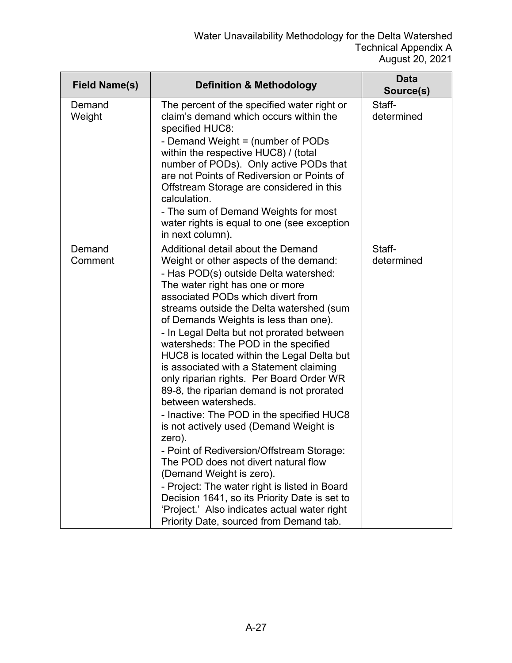| <b>Field Name(s)</b> | <b>Definition &amp; Methodology</b>                                                                                                                                                                                                                                                                                                                                                                                                                                                                                                                                                                                                                                                                                                                                                                                                                                                                                                                  | <b>Data</b><br>Source(s) |
|----------------------|------------------------------------------------------------------------------------------------------------------------------------------------------------------------------------------------------------------------------------------------------------------------------------------------------------------------------------------------------------------------------------------------------------------------------------------------------------------------------------------------------------------------------------------------------------------------------------------------------------------------------------------------------------------------------------------------------------------------------------------------------------------------------------------------------------------------------------------------------------------------------------------------------------------------------------------------------|--------------------------|
| Demand<br>Weight     | The percent of the specified water right or<br>claim's demand which occurs within the<br>specified HUC8:<br>- Demand Weight = (number of PODs<br>within the respective HUC8) / (total<br>number of PODs). Only active PODs that<br>are not Points of Rediversion or Points of<br>Offstream Storage are considered in this<br>calculation.<br>- The sum of Demand Weights for most<br>water rights is equal to one (see exception<br>in next column).                                                                                                                                                                                                                                                                                                                                                                                                                                                                                                 | Staff-<br>determined     |
| Demand<br>Comment    | Additional detail about the Demand<br>Weight or other aspects of the demand:<br>- Has POD(s) outside Delta watershed:<br>The water right has one or more<br>associated PODs which divert from<br>streams outside the Delta watershed (sum<br>of Demands Weights is less than one).<br>- In Legal Delta but not prorated between<br>watersheds: The POD in the specified<br>HUC8 is located within the Legal Delta but<br>is associated with a Statement claiming<br>only riparian rights. Per Board Order WR<br>89-8, the riparian demand is not prorated<br>between watersheds.<br>- Inactive: The POD in the specified HUC8<br>is not actively used (Demand Weight is<br>zero).<br>- Point of Rediversion/Offstream Storage:<br>The POD does not divert natural flow<br>(Demand Weight is zero).<br>- Project: The water right is listed in Board<br>Decision 1641, so its Priority Date is set to<br>'Project.' Also indicates actual water right | Staff-<br>determined     |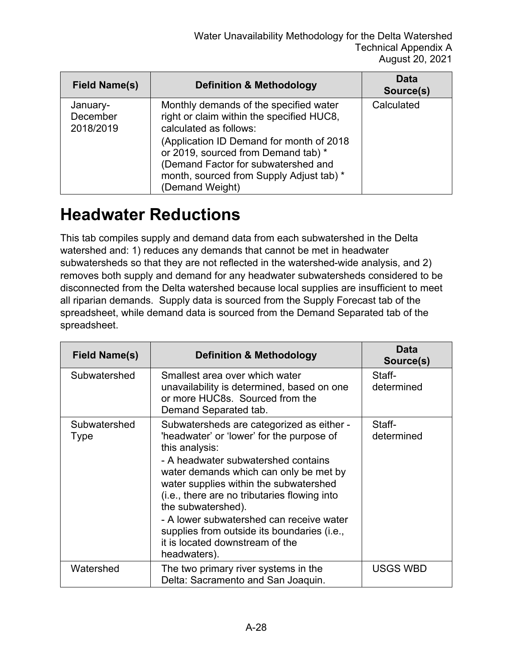| <b>Field Name(s)</b>              | <b>Definition &amp; Methodology</b>                                                                                                                                                                                                                                                                     | Data<br>Source(s) |
|-----------------------------------|---------------------------------------------------------------------------------------------------------------------------------------------------------------------------------------------------------------------------------------------------------------------------------------------------------|-------------------|
| January-<br>December<br>2018/2019 | Monthly demands of the specified water<br>right or claim within the specified HUC8,<br>calculated as follows:<br>(Application ID Demand for month of 2018)<br>or 2019, sourced from Demand tab) *<br>(Demand Factor for subwatershed and<br>month, sourced from Supply Adjust tab) *<br>(Demand Weight) | Calculated        |

#### **Headwater Reductions**

This tab compiles supply and demand data from each subwatershed in the Delta watershed and: 1) reduces any demands that cannot be met in headwater subwatersheds so that they are not reflected in the watershed-wide analysis, and 2) removes both supply and demand for any headwater subwatersheds considered to be disconnected from the Delta watershed because local supplies are insufficient to meet all riparian demands. Supply data is sourced from the Supply Forecast tab of the spreadsheet, while demand data is sourced from the Demand Separated tab of the spreadsheet.

| Field Name(s)        | <b>Definition &amp; Methodology</b>                                                                                                                                                                                                                                                                                                                                                                                                                     | <b>Data</b><br>Source(s) |
|----------------------|---------------------------------------------------------------------------------------------------------------------------------------------------------------------------------------------------------------------------------------------------------------------------------------------------------------------------------------------------------------------------------------------------------------------------------------------------------|--------------------------|
| Subwatershed         | Smallest area over which water<br>unavailability is determined, based on one<br>or more HUC8s. Sourced from the<br>Demand Separated tab.                                                                                                                                                                                                                                                                                                                | Staff-<br>determined     |
| Subwatershed<br>Type | Subwatersheds are categorized as either -<br>'headwater' or 'lower' for the purpose of<br>this analysis:<br>- A headwater subwatershed contains<br>water demands which can only be met by<br>water supplies within the subwatershed<br>(i.e., there are no tributaries flowing into<br>the subwatershed).<br>- A lower subwatershed can receive water<br>supplies from outside its boundaries (i.e.,<br>it is located downstream of the<br>headwaters). | Staff-<br>determined     |
| Watershed            | The two primary river systems in the<br>Delta: Sacramento and San Joaquin.                                                                                                                                                                                                                                                                                                                                                                              | USGS WBD                 |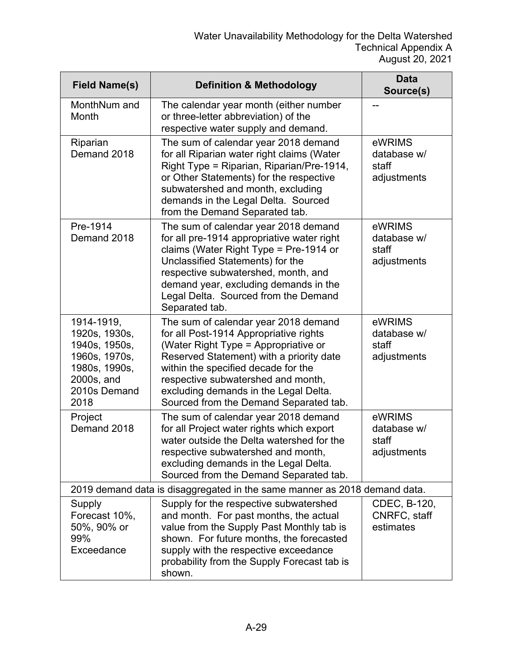| <b>Field Name(s)</b>                                                                                                 | <b>Definition &amp; Methodology</b>                                                                                                                                                                                                                                                                                                | <b>Data</b><br>Source(s)                      |
|----------------------------------------------------------------------------------------------------------------------|------------------------------------------------------------------------------------------------------------------------------------------------------------------------------------------------------------------------------------------------------------------------------------------------------------------------------------|-----------------------------------------------|
| MonthNum and<br>Month                                                                                                | The calendar year month (either number<br>or three-letter abbreviation) of the<br>respective water supply and demand.                                                                                                                                                                                                              |                                               |
| Riparian<br>Demand 2018                                                                                              | The sum of calendar year 2018 demand<br>for all Riparian water right claims (Water<br>Right Type = Riparian, Riparian/Pre-1914,<br>or Other Statements) for the respective<br>subwatershed and month, excluding<br>demands in the Legal Delta. Sourced<br>from the Demand Separated tab.                                           | eWRIMS<br>database w/<br>staff<br>adjustments |
| Pre-1914<br>Demand 2018                                                                                              | The sum of calendar year 2018 demand<br>for all pre-1914 appropriative water right<br>claims (Water Right Type = Pre-1914 or<br>Unclassified Statements) for the<br>respective subwatershed, month, and<br>demand year, excluding demands in the<br>Legal Delta. Sourced from the Demand<br>Separated tab.                         | eWRIMS<br>database w/<br>staff<br>adjustments |
| 1914-1919,<br>1920s, 1930s,<br>1940s, 1950s,<br>1960s, 1970s,<br>1980s, 1990s,<br>2000s, and<br>2010s Demand<br>2018 | The sum of calendar year 2018 demand<br>for all Post-1914 Appropriative rights<br>(Water Right Type = Appropriative or<br>Reserved Statement) with a priority date<br>within the specified decade for the<br>respective subwatershed and month,<br>excluding demands in the Legal Delta.<br>Sourced from the Demand Separated tab. | eWRIMS<br>database w/<br>staff<br>adjustments |
| Project<br>Demand 2018                                                                                               | The sum of calendar year 2018 demand<br>for all Project water rights which export<br>water outside the Delta watershed for the<br>respective subwatershed and month,<br>excluding demands in the Legal Delta.<br>Sourced from the Demand Separated tab.                                                                            | eWRIMS<br>database w/<br>staff<br>adjustments |
|                                                                                                                      | 2019 demand data is disaggregated in the same manner as 2018 demand data.                                                                                                                                                                                                                                                          |                                               |
| Supply<br>Forecast 10%,<br>50%, 90% or<br>99%<br>Exceedance                                                          | Supply for the respective subwatershed<br>and month. For past months, the actual<br>value from the Supply Past Monthly tab is<br>shown. For future months, the forecasted<br>supply with the respective exceedance<br>probability from the Supply Forecast tab is<br>shown.                                                        | CDEC, B-120,<br>CNRFC, staff<br>estimates     |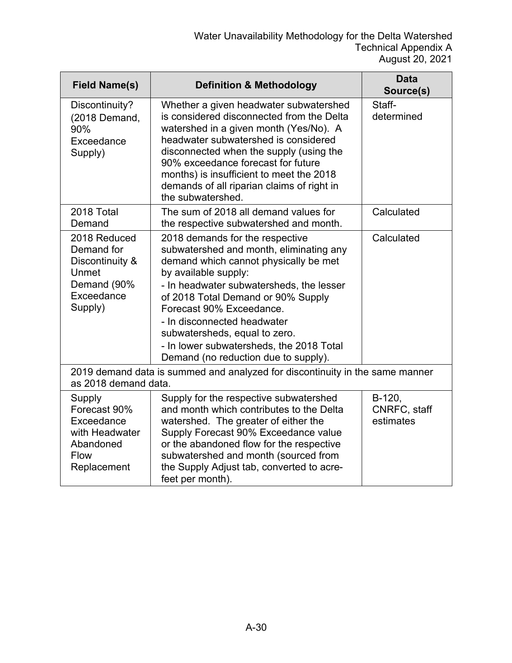| <b>Field Name(s)</b>                                                                              | <b>Definition &amp; Methodology</b>                                                                                                                                                                                                                                                                                                                                                                           | <b>Data</b><br>Source(s)            |
|---------------------------------------------------------------------------------------------------|---------------------------------------------------------------------------------------------------------------------------------------------------------------------------------------------------------------------------------------------------------------------------------------------------------------------------------------------------------------------------------------------------------------|-------------------------------------|
| Discontinuity?<br>(2018 Demand,<br>90%<br>Exceedance<br>Supply)                                   | Whether a given headwater subwatershed<br>is considered disconnected from the Delta<br>watershed in a given month (Yes/No). A<br>headwater subwatershed is considered<br>disconnected when the supply (using the<br>90% exceedance forecast for future<br>months) is insufficient to meet the 2018<br>demands of all riparian claims of right in<br>the subwatershed.                                         | Staff-<br>determined                |
| 2018 Total<br>Demand                                                                              | The sum of 2018 all demand values for<br>the respective subwatershed and month.                                                                                                                                                                                                                                                                                                                               | Calculated                          |
| 2018 Reduced<br>Demand for<br>Discontinuity &<br>Unmet<br>Demand (90%<br>Exceedance<br>Supply)    | 2018 demands for the respective<br>subwatershed and month, eliminating any<br>demand which cannot physically be met<br>by available supply:<br>- In headwater subwatersheds, the lesser<br>of 2018 Total Demand or 90% Supply<br>Forecast 90% Exceedance.<br>- In disconnected headwater<br>subwatersheds, equal to zero.<br>- In lower subwatersheds, the 2018 Total<br>Demand (no reduction due to supply). | Calculated                          |
| as 2018 demand data.                                                                              | 2019 demand data is summed and analyzed for discontinuity in the same manner                                                                                                                                                                                                                                                                                                                                  |                                     |
| Supply<br>Forecast 90%<br>Exceedance<br>with Headwater<br>Abandoned<br><b>Flow</b><br>Replacement | Supply for the respective subwatershed<br>and month which contributes to the Delta<br>watershed. The greater of either the<br>Supply Forecast 90% Exceedance value<br>or the abandoned flow for the respective<br>subwatershed and month (sourced from<br>the Supply Adjust tab, converted to acre-<br>feet per month).                                                                                       | B-120,<br>CNRFC, staff<br>estimates |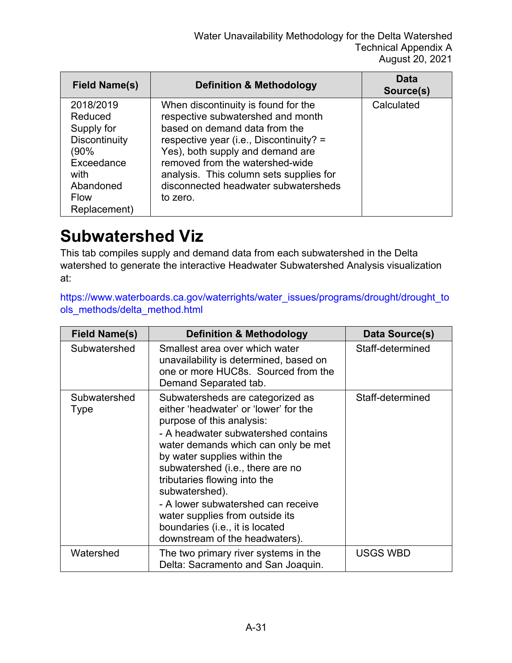| <b>Field Name(s)</b>                                                                                                          | <b>Definition &amp; Methodology</b>                                                                                                                                                                                                                                                                                        | <b>Data</b><br>Source(s) |
|-------------------------------------------------------------------------------------------------------------------------------|----------------------------------------------------------------------------------------------------------------------------------------------------------------------------------------------------------------------------------------------------------------------------------------------------------------------------|--------------------------|
| 2018/2019<br>Reduced<br>Supply for<br>Discontinuity<br>(90%<br>Exceedance<br>with<br>Abandoned<br><b>Flow</b><br>Replacement) | When discontinuity is found for the<br>respective subwatershed and month<br>based on demand data from the<br>respective year (i.e., Discontinuity? =<br>Yes), both supply and demand are<br>removed from the watershed-wide<br>analysis. This column sets supplies for<br>disconnected headwater subwatersheds<br>to zero. | Calculated               |

#### **Subwatershed Viz**

This tab compiles supply and demand data from each subwatershed in the Delta watershed to generate the interactive Headwater Subwatershed Analysis visualization at:

[https://www.waterboards.ca.gov/waterrights/water\\_issues/programs/drought/drought\\_to](https://www.waterboards.ca.gov/waterrights/water_issues/programs/drought/drought_tools_methods/delta_method.html) [ols\\_methods/delta\\_method.html](https://www.waterboards.ca.gov/waterrights/water_issues/programs/drought/drought_tools_methods/delta_method.html)

| <b>Field Name(s)</b> | <b>Definition &amp; Methodology</b>                                                                                                                                                                                                                                                                                                                                                                                                                      | Data Source(s)   |
|----------------------|----------------------------------------------------------------------------------------------------------------------------------------------------------------------------------------------------------------------------------------------------------------------------------------------------------------------------------------------------------------------------------------------------------------------------------------------------------|------------------|
| Subwatershed         | Smallest area over which water<br>unavailability is determined, based on<br>one or more HUC8s. Sourced from the<br>Demand Separated tab.                                                                                                                                                                                                                                                                                                                 | Staff-determined |
| Subwatershed<br>Type | Subwatersheds are categorized as<br>either 'headwater' or 'lower' for the<br>purpose of this analysis:<br>- A headwater subwatershed contains<br>water demands which can only be met<br>by water supplies within the<br>subwatershed (i.e., there are no<br>tributaries flowing into the<br>subwatershed).<br>- A lower subwatershed can receive<br>water supplies from outside its<br>boundaries (i.e., it is located<br>downstream of the headwaters). | Staff-determined |
| Watershed            | The two primary river systems in the<br>Delta: Sacramento and San Joaquin.                                                                                                                                                                                                                                                                                                                                                                               | <b>USGS WBD</b>  |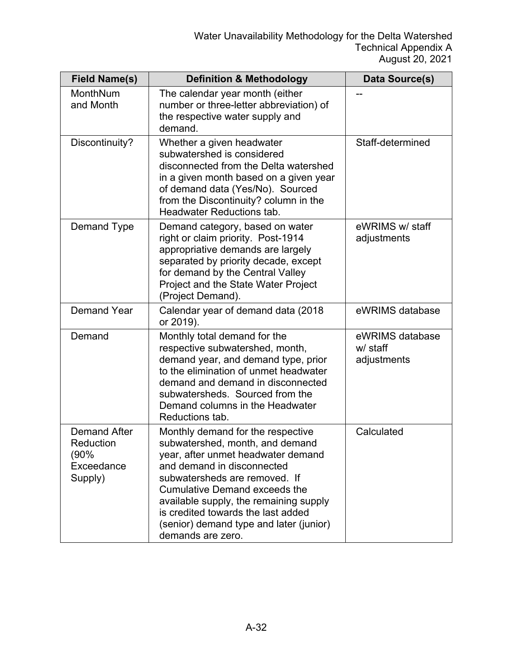| <b>Field Name(s)</b>                                              | <b>Definition &amp; Methodology</b>                                                                                                                                                                                                                                                                                                                               | Data Source(s)                             |
|-------------------------------------------------------------------|-------------------------------------------------------------------------------------------------------------------------------------------------------------------------------------------------------------------------------------------------------------------------------------------------------------------------------------------------------------------|--------------------------------------------|
| MonthNum<br>and Month                                             | The calendar year month (either<br>number or three-letter abbreviation) of<br>the respective water supply and<br>demand.                                                                                                                                                                                                                                          |                                            |
| Discontinuity?                                                    | Whether a given headwater<br>subwatershed is considered<br>disconnected from the Delta watershed<br>in a given month based on a given year<br>of demand data (Yes/No). Sourced<br>from the Discontinuity? column in the<br><b>Headwater Reductions tab.</b>                                                                                                       | Staff-determined                           |
| Demand Type                                                       | Demand category, based on water<br>right or claim priority. Post-1914<br>appropriative demands are largely<br>separated by priority decade, except<br>for demand by the Central Valley<br>Project and the State Water Project<br>(Project Demand).                                                                                                                | eWRIMS w/ staff<br>adjustments             |
| <b>Demand Year</b>                                                | Calendar year of demand data (2018<br>or 2019).                                                                                                                                                                                                                                                                                                                   | eWRIMS database                            |
| Demand                                                            | Monthly total demand for the<br>respective subwatershed, month,<br>demand year, and demand type, prior<br>to the elimination of unmet headwater<br>demand and demand in disconnected<br>subwatersheds. Sourced from the<br>Demand columns in the Headwater<br>Reductions tab.                                                                                     | eWRIMS database<br>w/ staff<br>adjustments |
| <b>Demand After</b><br>Reduction<br>(90%<br>Exceedance<br>Supply) | Monthly demand for the respective<br>subwatershed, month, and demand<br>year, after unmet headwater demand<br>and demand in disconnected<br>subwatersheds are removed. If<br><b>Cumulative Demand exceeds the</b><br>available supply, the remaining supply<br>is credited towards the last added<br>(senior) demand type and later (junior)<br>demands are zero. | Calculated                                 |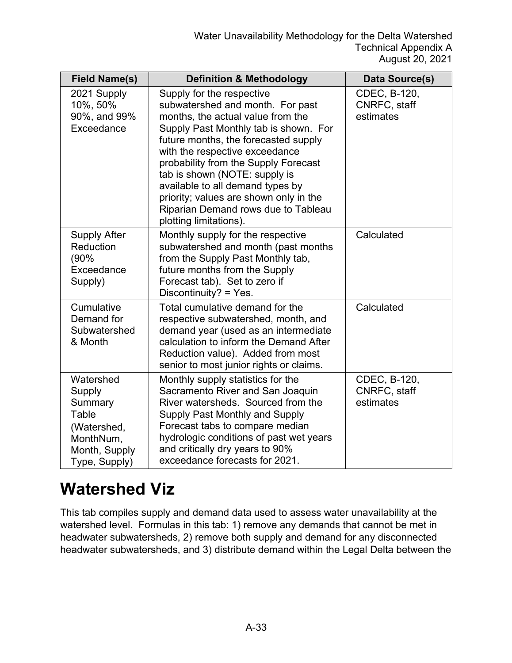| <b>Field Name(s)</b>                                                                                  | <b>Definition &amp; Methodology</b>                                                                                                                                                                                                                                                                                                                                                                                                           | Data Source(s)                            |
|-------------------------------------------------------------------------------------------------------|-----------------------------------------------------------------------------------------------------------------------------------------------------------------------------------------------------------------------------------------------------------------------------------------------------------------------------------------------------------------------------------------------------------------------------------------------|-------------------------------------------|
| 2021 Supply<br>10%, 50%<br>90%, and 99%<br>Exceedance                                                 | Supply for the respective<br>subwatershed and month. For past<br>months, the actual value from the<br>Supply Past Monthly tab is shown. For<br>future months, the forecasted supply<br>with the respective exceedance<br>probability from the Supply Forecast<br>tab is shown (NOTE: supply is<br>available to all demand types by<br>priority; values are shown only in the<br>Riparian Demand rows due to Tableau<br>plotting limitations). | CDEC, B-120,<br>CNRFC, staff<br>estimates |
| <b>Supply After</b><br>Reduction<br>(90%<br>Exceedance<br>Supply)                                     | Monthly supply for the respective<br>subwatershed and month (past months<br>from the Supply Past Monthly tab,<br>future months from the Supply<br>Forecast tab). Set to zero if<br>Discontinuity? = $Yes.$                                                                                                                                                                                                                                    | Calculated                                |
| Cumulative<br>Demand for<br>Subwatershed<br>& Month                                                   | Total cumulative demand for the<br>respective subwatershed, month, and<br>demand year (used as an intermediate<br>calculation to inform the Demand After<br>Reduction value). Added from most<br>senior to most junior rights or claims.                                                                                                                                                                                                      | Calculated                                |
| Watershed<br>Supply<br>Summary<br>Table<br>(Watershed,<br>MonthNum,<br>Month, Supply<br>Type, Supply) | Monthly supply statistics for the<br>Sacramento River and San Joaquin<br>River watersheds. Sourced from the<br>Supply Past Monthly and Supply<br>Forecast tabs to compare median<br>hydrologic conditions of past wet years<br>and critically dry years to 90%<br>exceedance forecasts for 2021.                                                                                                                                              | CDEC, B-120,<br>CNRFC, staff<br>estimates |

#### **Watershed Viz**

This tab compiles supply and demand data used to assess water unavailability at the watershed level. Formulas in this tab: 1) remove any demands that cannot be met in headwater subwatersheds, 2) remove both supply and demand for any disconnected headwater subwatersheds, and 3) distribute demand within the Legal Delta between the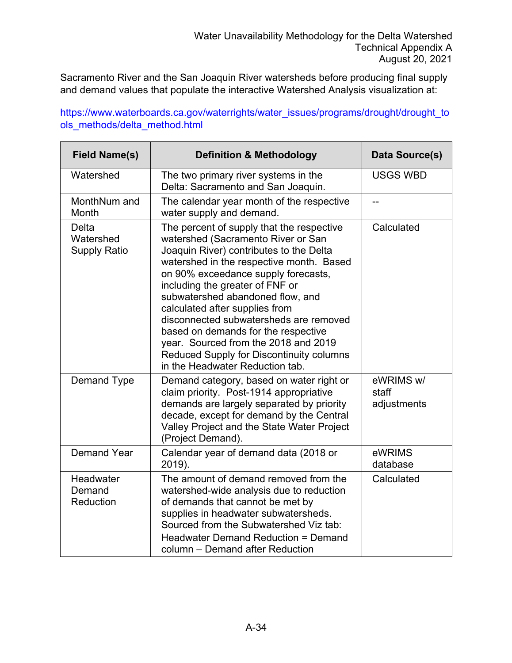Sacramento River and the San Joaquin River watersheds before producing final supply and demand values that populate the interactive Watershed Analysis visualization at:

[https://www.waterboards.ca.gov/waterrights/water\\_issues/programs/drought/drought\\_to](https://www.waterboards.ca.gov/waterrights/water_issues/programs/drought/drought_tools_methods/delta_method.html) [ols\\_methods/delta\\_method.html](https://www.waterboards.ca.gov/waterrights/water_issues/programs/drought/drought_tools_methods/delta_method.html)

| <b>Field Name(s)</b>                      | <b>Definition &amp; Methodology</b>                                                                                                                                                                                                                                                                                                                                                                                                                                                                                            | Data Source(s)                    |
|-------------------------------------------|--------------------------------------------------------------------------------------------------------------------------------------------------------------------------------------------------------------------------------------------------------------------------------------------------------------------------------------------------------------------------------------------------------------------------------------------------------------------------------------------------------------------------------|-----------------------------------|
| Watershed                                 | The two primary river systems in the<br>Delta: Sacramento and San Joaquin.                                                                                                                                                                                                                                                                                                                                                                                                                                                     | <b>USGS WBD</b>                   |
| MonthNum and<br>Month                     | The calendar year month of the respective<br>water supply and demand.                                                                                                                                                                                                                                                                                                                                                                                                                                                          | --                                |
| Delta<br>Watershed<br><b>Supply Ratio</b> | The percent of supply that the respective<br>watershed (Sacramento River or San<br>Joaquin River) contributes to the Delta<br>watershed in the respective month. Based<br>on 90% exceedance supply forecasts,<br>including the greater of FNF or<br>subwatershed abandoned flow, and<br>calculated after supplies from<br>disconnected subwatersheds are removed<br>based on demands for the respective<br>year. Sourced from the 2018 and 2019<br>Reduced Supply for Discontinuity columns<br>in the Headwater Reduction tab. | Calculated                        |
| Demand Type                               | Demand category, based on water right or<br>claim priority. Post-1914 appropriative<br>demands are largely separated by priority<br>decade, except for demand by the Central<br>Valley Project and the State Water Project<br>(Project Demand).                                                                                                                                                                                                                                                                                | eWRIMS w/<br>staff<br>adjustments |
| <b>Demand Year</b>                        | Calendar year of demand data (2018 or<br>2019).                                                                                                                                                                                                                                                                                                                                                                                                                                                                                | eWRIMS<br>database                |
| Headwater<br>Demand<br>Reduction          | The amount of demand removed from the<br>watershed-wide analysis due to reduction<br>of demands that cannot be met by<br>supplies in headwater subwatersheds.<br>Sourced from the Subwatershed Viz tab:<br>Headwater Demand Reduction = Demand<br>column - Demand after Reduction                                                                                                                                                                                                                                              | Calculated                        |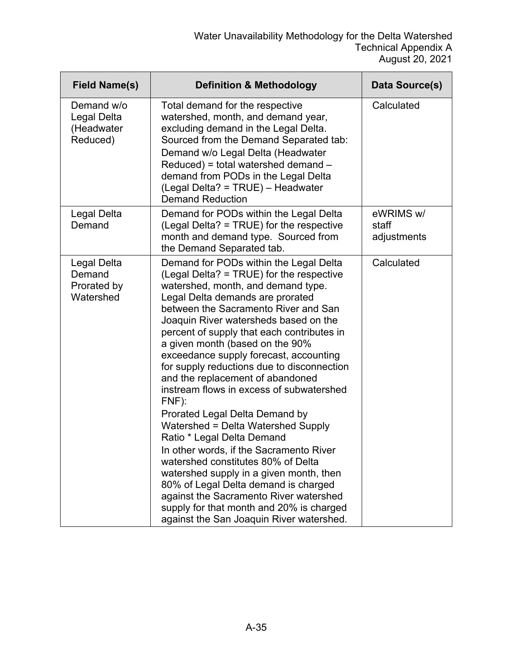| <b>Field Name(s)</b>                                | <b>Definition &amp; Methodology</b>                                                                                                                                                                                                                                                                                                                                                                                                                                                                                                                                                                                                                                                                                                                                                                                                                                                                                            | Data Source(s)                    |
|-----------------------------------------------------|--------------------------------------------------------------------------------------------------------------------------------------------------------------------------------------------------------------------------------------------------------------------------------------------------------------------------------------------------------------------------------------------------------------------------------------------------------------------------------------------------------------------------------------------------------------------------------------------------------------------------------------------------------------------------------------------------------------------------------------------------------------------------------------------------------------------------------------------------------------------------------------------------------------------------------|-----------------------------------|
| Demand w/o<br>Legal Delta<br>(Headwater<br>Reduced) | Total demand for the respective<br>watershed, month, and demand year,<br>excluding demand in the Legal Delta.<br>Sourced from the Demand Separated tab:<br>Demand w/o Legal Delta (Headwater<br>$Reduced$ ) = total watershed demand $-$<br>demand from PODs in the Legal Delta<br>(Legal Delta? = TRUE) - Headwater<br><b>Demand Reduction</b>                                                                                                                                                                                                                                                                                                                                                                                                                                                                                                                                                                                | Calculated                        |
| Legal Delta<br>Demand                               | Demand for PODs within the Legal Delta<br>(Legal Delta? = TRUE) for the respective<br>month and demand type. Sourced from<br>the Demand Separated tab.                                                                                                                                                                                                                                                                                                                                                                                                                                                                                                                                                                                                                                                                                                                                                                         | eWRIMS w/<br>staff<br>adjustments |
| Legal Delta<br>Demand<br>Prorated by<br>Watershed   | Demand for PODs within the Legal Delta<br>(Legal Delta? = TRUE) for the respective<br>watershed, month, and demand type.<br>Legal Delta demands are prorated<br>between the Sacramento River and San<br>Joaquin River watersheds based on the<br>percent of supply that each contributes in<br>a given month (based on the 90%<br>exceedance supply forecast, accounting<br>for supply reductions due to disconnection<br>and the replacement of abandoned<br>instream flows in excess of subwatershed<br>$FNF$ ):<br>Prorated Legal Delta Demand by<br>Watershed = Delta Watershed Supply<br>Ratio * Legal Delta Demand<br>In other words, if the Sacramento River<br>watershed constitutes 80% of Delta<br>watershed supply in a given month, then<br>80% of Legal Delta demand is charged<br>against the Sacramento River watershed<br>supply for that month and 20% is charged<br>against the San Joaquin River watershed. | Calculated                        |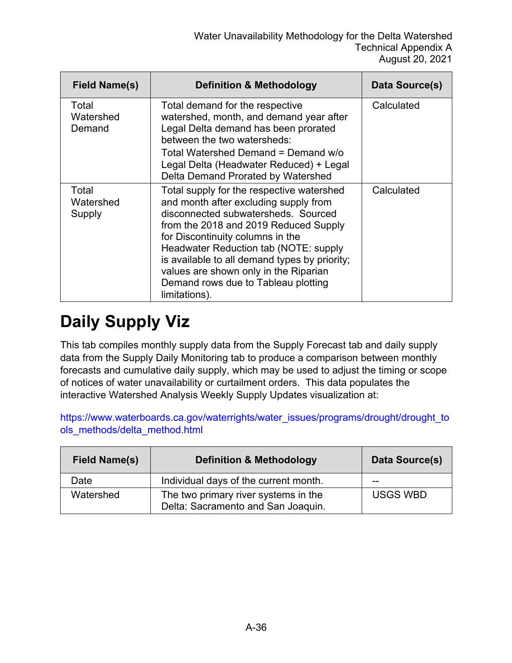| Field Name(s)                | <b>Definition &amp; Methodology</b>                                                                                                                                                                                                                                                                                                                                                               | Data Source(s) |
|------------------------------|---------------------------------------------------------------------------------------------------------------------------------------------------------------------------------------------------------------------------------------------------------------------------------------------------------------------------------------------------------------------------------------------------|----------------|
| Total<br>Watershed<br>Demand | Total demand for the respective<br>watershed, month, and demand year after<br>Legal Delta demand has been prorated<br>between the two watersheds:<br>Total Watershed Demand = Demand w/o<br>Legal Delta (Headwater Reduced) + Legal<br>Delta Demand Prorated by Watershed                                                                                                                         | Calculated     |
| Total<br>Watershed<br>Supply | Total supply for the respective watershed<br>and month after excluding supply from<br>disconnected subwatersheds. Sourced<br>from the 2018 and 2019 Reduced Supply<br>for Discontinuity columns in the<br>Headwater Reduction tab (NOTE: supply<br>is available to all demand types by priority;<br>values are shown only in the Riparian<br>Demand rows due to Tableau plotting<br>limitations). | Calculated     |

# **Daily Supply Viz**

This tab compiles monthly supply data from the Supply Forecast tab and daily supply data from the Supply Daily Monitoring tab to produce a comparison between monthly forecasts and cumulative daily supply, which may be used to adjust the timing or scope of notices of water unavailability or curtailment orders. This data populates the interactive Watershed Analysis Weekly Supply Updates visualization at:

[https://www.waterboards.ca.gov/waterrights/water\\_issues/programs/drought/drought\\_to](https://www.waterboards.ca.gov/waterrights/water_issues/programs/drought/drought_tools_methods/delta_method.html) [ols\\_methods/delta\\_method.html](https://www.waterboards.ca.gov/waterrights/water_issues/programs/drought/drought_tools_methods/delta_method.html)

| <b>Field Name(s)</b> | <b>Definition &amp; Methodology</b>                                        | Data Source(s)  |
|----------------------|----------------------------------------------------------------------------|-----------------|
| Date                 | Individual days of the current month.                                      | --              |
| Watershed            | The two primary river systems in the<br>Delta: Sacramento and San Joaquin. | <b>USGS WBD</b> |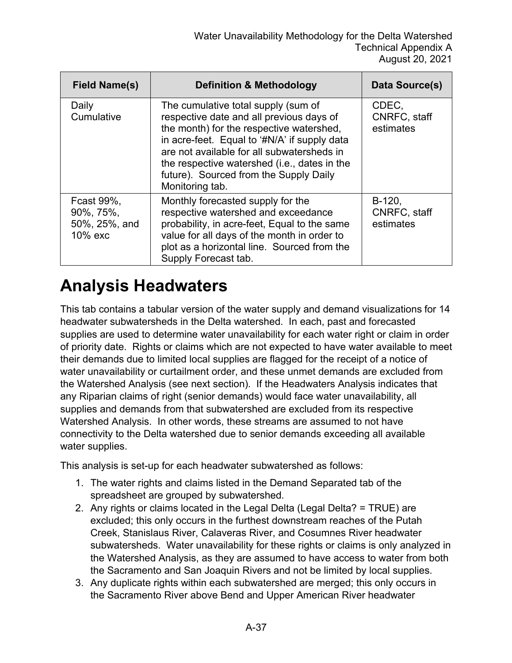| <b>Field Name(s)</b>                                | <b>Definition &amp; Methodology</b>                                                                                                                                                                                                                                                                                                    | Data Source(s)                        |
|-----------------------------------------------------|----------------------------------------------------------------------------------------------------------------------------------------------------------------------------------------------------------------------------------------------------------------------------------------------------------------------------------------|---------------------------------------|
| Daily<br>Cumulative                                 | The cumulative total supply (sum of<br>respective date and all previous days of<br>the month) for the respective watershed,<br>in acre-feet. Equal to '#N/A' if supply data<br>are not available for all subwatersheds in<br>the respective watershed (i.e., dates in the<br>future). Sourced from the Supply Daily<br>Monitoring tab. | CDEC,<br>CNRFC, staff<br>estimates    |
| Fcast 99%,<br>90%, 75%,<br>50%, 25%, and<br>10% exc | Monthly forecasted supply for the<br>respective watershed and exceedance<br>probability, in acre-feet, Equal to the same<br>value for all days of the month in order to<br>plot as a horizontal line. Sourced from the<br>Supply Forecast tab.                                                                                         | $B-120,$<br>CNRFC, staff<br>estimates |

#### **Analysis Headwaters**

This tab contains a tabular version of the water supply and demand visualizations for 14 headwater subwatersheds in the Delta watershed. In each, past and forecasted supplies are used to determine water unavailability for each water right or claim in order of priority date. Rights or claims which are not expected to have water available to meet their demands due to limited local supplies are flagged for the receipt of a notice of water unavailability or curtailment order, and these unmet demands are excluded from the Watershed Analysis (see next section). If the Headwaters Analysis indicates that any Riparian claims of right (senior demands) would face water unavailability, all supplies and demands from that subwatershed are excluded from its respective Watershed Analysis. In other words, these streams are assumed to not have connectivity to the Delta watershed due to senior demands exceeding all available water supplies.

This analysis is set-up for each headwater subwatershed as follows:

- 1. The water rights and claims listed in the Demand Separated tab of the spreadsheet are grouped by subwatershed.
- 2. Any rights or claims located in the Legal Delta (Legal Delta? = TRUE) are excluded; this only occurs in the furthest downstream reaches of the Putah Creek, Stanislaus River, Calaveras River, and Cosumnes River headwater subwatersheds. Water unavailability for these rights or claims is only analyzed in the Watershed Analysis, as they are assumed to have access to water from both the Sacramento and San Joaquin Rivers and not be limited by local supplies.
- 3. Any duplicate rights within each subwatershed are merged; this only occurs in the Sacramento River above Bend and Upper American River headwater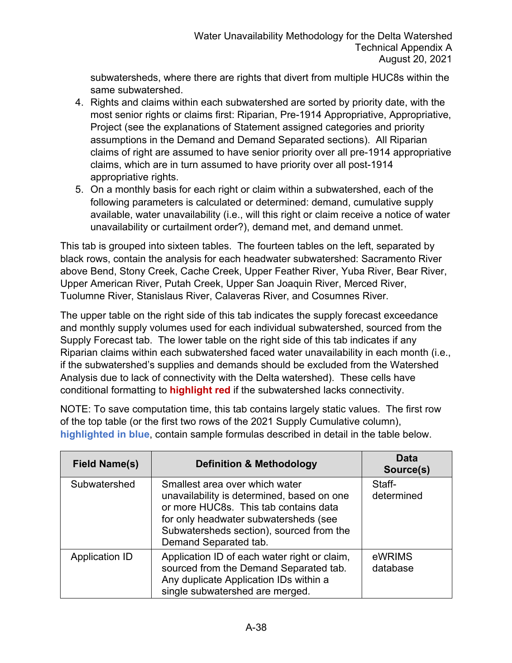subwatersheds, where there are rights that divert from multiple HUC8s within the same subwatershed.

- 4. Rights and claims within each subwatershed are sorted by priority date, with the most senior rights or claims first: Riparian, Pre-1914 Appropriative, Appropriative, Project (see the explanations of Statement assigned categories and priority assumptions in the Demand and Demand Separated sections). All Riparian claims of right are assumed to have senior priority over all pre-1914 appropriative claims, which are in turn assumed to have priority over all post-1914 appropriative rights.
- 5. On a monthly basis for each right or claim within a subwatershed, each of the following parameters is calculated or determined: demand, cumulative supply available, water unavailability (i.e., will this right or claim receive a notice of water unavailability or curtailment order?), demand met, and demand unmet.

This tab is grouped into sixteen tables. The fourteen tables on the left, separated by black rows, contain the analysis for each headwater subwatershed: Sacramento River above Bend, Stony Creek, Cache Creek, Upper Feather River, Yuba River, Bear River, Upper American River, Putah Creek, Upper San Joaquin River, Merced River, Tuolumne River, Stanislaus River, Calaveras River, and Cosumnes River.

The upper table on the right side of this tab indicates the supply forecast exceedance and monthly supply volumes used for each individual subwatershed, sourced from the Supply Forecast tab. The lower table on the right side of this tab indicates if any Riparian claims within each subwatershed faced water unavailability in each month (i.e., if the subwatershed's supplies and demands should be excluded from the Watershed Analysis due to lack of connectivity with the Delta watershed). These cells have conditional formatting to **highlight red** if the subwatershed lacks connectivity.

NOTE: To save computation time, this tab contains largely static values. The first row of the top table (or the first two rows of the 2021 Supply Cumulative column), **highlighted in blue**, contain sample formulas described in detail in the table below.

| <b>Field Name(s)</b> | <b>Definition &amp; Methodology</b>                                                                                                                                                                                                 | <b>Data</b><br>Source(s) |
|----------------------|-------------------------------------------------------------------------------------------------------------------------------------------------------------------------------------------------------------------------------------|--------------------------|
| Subwatershed         | Smallest area over which water<br>unavailability is determined, based on one<br>or more HUC8s. This tab contains data<br>for only headwater subwatersheds (see<br>Subwatersheds section), sourced from the<br>Demand Separated tab. | Staff-<br>determined     |
| Application ID       | Application ID of each water right or claim,<br>sourced from the Demand Separated tab.<br>Any duplicate Application IDs within a<br>single subwatershed are merged.                                                                 | eWRIMS<br>database       |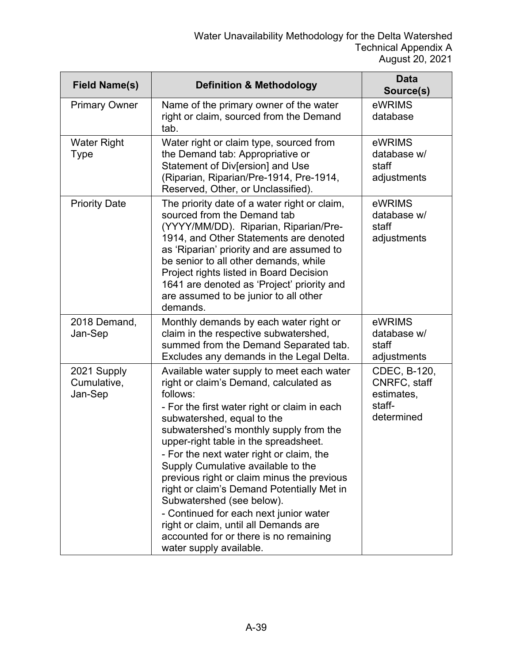| <b>Field Name(s)</b>                  | <b>Definition &amp; Methodology</b>                                                                                                                                                                                                                                                                                                                                                                                                                                                                                                                                                                                                 | <b>Data</b><br>Source(s)                                           |
|---------------------------------------|-------------------------------------------------------------------------------------------------------------------------------------------------------------------------------------------------------------------------------------------------------------------------------------------------------------------------------------------------------------------------------------------------------------------------------------------------------------------------------------------------------------------------------------------------------------------------------------------------------------------------------------|--------------------------------------------------------------------|
| <b>Primary Owner</b>                  | Name of the primary owner of the water<br>right or claim, sourced from the Demand<br>tab.                                                                                                                                                                                                                                                                                                                                                                                                                                                                                                                                           | eWRIMS<br>database                                                 |
| <b>Water Right</b><br><b>Type</b>     | Water right or claim type, sourced from<br>the Demand tab: Appropriative or<br>Statement of Div[ersion] and Use<br>(Riparian, Riparian/Pre-1914, Pre-1914,<br>Reserved, Other, or Unclassified).                                                                                                                                                                                                                                                                                                                                                                                                                                    | eWRIMS<br>database w/<br>staff<br>adjustments                      |
| <b>Priority Date</b>                  | The priority date of a water right or claim,<br>sourced from the Demand tab<br>(YYYY/MM/DD). Riparian, Riparian/Pre-<br>1914, and Other Statements are denoted<br>as 'Riparian' priority and are assumed to<br>be senior to all other demands, while<br>Project rights listed in Board Decision<br>1641 are denoted as 'Project' priority and<br>are assumed to be junior to all other<br>demands.                                                                                                                                                                                                                                  | eWRIMS<br>database w/<br>staff<br>adjustments                      |
| 2018 Demand,<br>Jan-Sep               | Monthly demands by each water right or<br>claim in the respective subwatershed,<br>summed from the Demand Separated tab.<br>Excludes any demands in the Legal Delta.                                                                                                                                                                                                                                                                                                                                                                                                                                                                | eWRIMS<br>database w/<br>staff<br>adjustments                      |
| 2021 Supply<br>Cumulative,<br>Jan-Sep | Available water supply to meet each water<br>right or claim's Demand, calculated as<br>follows:<br>- For the first water right or claim in each<br>subwatershed, equal to the<br>subwatershed's monthly supply from the<br>upper-right table in the spreadsheet.<br>- For the next water right or claim, the<br>Supply Cumulative available to the<br>previous right or claim minus the previous<br>right or claim's Demand Potentially Met in<br>Subwatershed (see below).<br>- Continued for each next junior water<br>right or claim, until all Demands are<br>accounted for or there is no remaining<br>water supply available. | CDEC, B-120,<br>CNRFC, staff<br>estimates,<br>staff-<br>determined |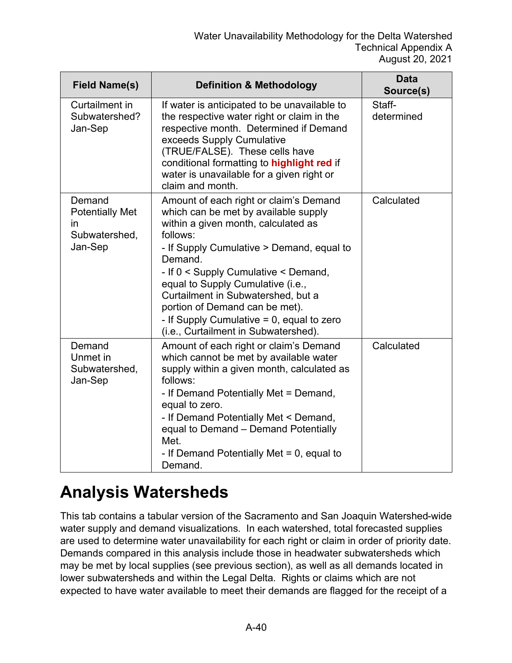| <b>Field Name(s)</b>                                               | <b>Definition &amp; Methodology</b>                                                                                                                                                                                                                                                                                                                                                                                                    | <b>Data</b><br>Source(s) |
|--------------------------------------------------------------------|----------------------------------------------------------------------------------------------------------------------------------------------------------------------------------------------------------------------------------------------------------------------------------------------------------------------------------------------------------------------------------------------------------------------------------------|--------------------------|
| Curtailment in<br>Subwatershed?<br>Jan-Sep                         | If water is anticipated to be unavailable to<br>the respective water right or claim in the<br>respective month. Determined if Demand<br>exceeds Supply Cumulative<br>(TRUE/FALSE). These cells have<br>conditional formatting to highlight red if<br>water is unavailable for a given right or<br>claim and month.                                                                                                                     | Staff-<br>determined     |
| Demand<br><b>Potentially Met</b><br>ın<br>Subwatershed,<br>Jan-Sep | Amount of each right or claim's Demand<br>which can be met by available supply<br>within a given month, calculated as<br>follows:<br>- If Supply Cumulative > Demand, equal to<br>Demand.<br>- If 0 < Supply Cumulative < Demand,<br>equal to Supply Cumulative (i.e.,<br>Curtailment in Subwatershed, but a<br>portion of Demand can be met).<br>- If Supply Cumulative $= 0$ , equal to zero<br>(i.e., Curtailment in Subwatershed). | Calculated               |
| Demand<br>Unmet in<br>Subwatershed,<br>Jan-Sep                     | Amount of each right or claim's Demand<br>which cannot be met by available water<br>supply within a given month, calculated as<br>follows:<br>- If Demand Potentially Met = Demand,<br>equal to zero.<br>- If Demand Potentially Met < Demand,<br>equal to Demand - Demand Potentially<br>Met.<br>- If Demand Potentially Met $= 0$ , equal to<br>Demand.                                                                              | Calculated               |

#### **Analysis Watersheds**

This tab contains a tabular version of the Sacramento and San Joaquin Watershed-wide water supply and demand visualizations. In each watershed, total forecasted supplies are used to determine water unavailability for each right or claim in order of priority date. Demands compared in this analysis include those in headwater subwatersheds which may be met by local supplies (see previous section), as well as all demands located in lower subwatersheds and within the Legal Delta. Rights or claims which are not expected to have water available to meet their demands are flagged for the receipt of a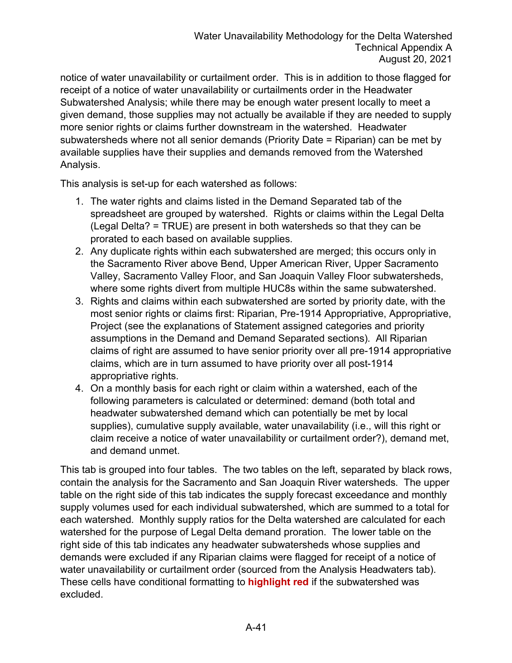notice of water unavailability or curtailment order. This is in addition to those flagged for receipt of a notice of water unavailability or curtailments order in the Headwater Subwatershed Analysis; while there may be enough water present locally to meet a given demand, those supplies may not actually be available if they are needed to supply more senior rights or claims further downstream in the watershed. Headwater subwatersheds where not all senior demands (Priority Date = Riparian) can be met by available supplies have their supplies and demands removed from the Watershed Analysis.

This analysis is set-up for each watershed as follows:

- 1. The water rights and claims listed in the Demand Separated tab of the spreadsheet are grouped by watershed. Rights or claims within the Legal Delta (Legal Delta? = TRUE) are present in both watersheds so that they can be prorated to each based on available supplies.
- 2. Any duplicate rights within each subwatershed are merged; this occurs only in the Sacramento River above Bend, Upper American River, Upper Sacramento Valley, Sacramento Valley Floor, and San Joaquin Valley Floor subwatersheds, where some rights divert from multiple HUC8s within the same subwatershed.
- 3. Rights and claims within each subwatershed are sorted by priority date, with the most senior rights or claims first: Riparian, Pre-1914 Appropriative, Appropriative, Project (see the explanations of Statement assigned categories and priority assumptions in the Demand and Demand Separated sections). All Riparian claims of right are assumed to have senior priority over all pre-1914 appropriative claims, which are in turn assumed to have priority over all post-1914 appropriative rights.
- 4. On a monthly basis for each right or claim within a watershed, each of the following parameters is calculated or determined: demand (both total and headwater subwatershed demand which can potentially be met by local supplies), cumulative supply available, water unavailability (i.e., will this right or claim receive a notice of water unavailability or curtailment order?), demand met, and demand unmet.

This tab is grouped into four tables. The two tables on the left, separated by black rows, contain the analysis for the Sacramento and San Joaquin River watersheds. The upper table on the right side of this tab indicates the supply forecast exceedance and monthly supply volumes used for each individual subwatershed, which are summed to a total for each watershed. Monthly supply ratios for the Delta watershed are calculated for each watershed for the purpose of Legal Delta demand proration. The lower table on the right side of this tab indicates any headwater subwatersheds whose supplies and demands were excluded if any Riparian claims were flagged for receipt of a notice of water unavailability or curtailment order (sourced from the Analysis Headwaters tab). These cells have conditional formatting to **highlight red** if the subwatershed was excluded.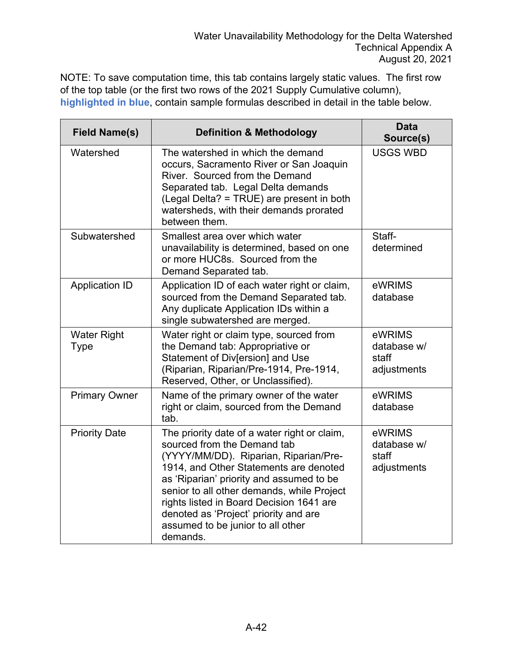NOTE: To save computation time, this tab contains largely static values. The first row of the top table (or the first two rows of the 2021 Supply Cumulative column), **highlighted in blue**, contain sample formulas described in detail in the table below.

| <b>Field Name(s)</b>              | <b>Definition &amp; Methodology</b>                                                                                                                                                                                                                                                                                                                                                            | <b>Data</b><br>Source(s)                      |
|-----------------------------------|------------------------------------------------------------------------------------------------------------------------------------------------------------------------------------------------------------------------------------------------------------------------------------------------------------------------------------------------------------------------------------------------|-----------------------------------------------|
| Watershed                         | The watershed in which the demand<br>occurs, Sacramento River or San Joaquin<br>River. Sourced from the Demand<br>Separated tab. Legal Delta demands<br>(Legal Delta? = TRUE) are present in both<br>watersheds, with their demands prorated<br>between them.                                                                                                                                  | <b>USGS WBD</b>                               |
| Subwatershed                      | Smallest area over which water<br>unavailability is determined, based on one<br>or more HUC8s. Sourced from the<br>Demand Separated tab.                                                                                                                                                                                                                                                       | Staff-<br>determined                          |
| <b>Application ID</b>             | Application ID of each water right or claim,<br>sourced from the Demand Separated tab.<br>Any duplicate Application IDs within a<br>single subwatershed are merged.                                                                                                                                                                                                                            | eWRIMS<br>database                            |
| <b>Water Right</b><br><b>Type</b> | Water right or claim type, sourced from<br>the Demand tab: Appropriative or<br>Statement of Div[ersion] and Use<br>(Riparian, Riparian/Pre-1914, Pre-1914,<br>Reserved, Other, or Unclassified).                                                                                                                                                                                               | eWRIMS<br>database w/<br>staff<br>adjustments |
| <b>Primary Owner</b>              | Name of the primary owner of the water<br>right or claim, sourced from the Demand<br>tab.                                                                                                                                                                                                                                                                                                      | eWRIMS<br>database                            |
| <b>Priority Date</b>              | The priority date of a water right or claim,<br>sourced from the Demand tab<br>(YYYY/MM/DD). Riparian, Riparian/Pre-<br>1914, and Other Statements are denoted<br>as 'Riparian' priority and assumed to be<br>senior to all other demands, while Project<br>rights listed in Board Decision 1641 are<br>denoted as 'Project' priority and are<br>assumed to be junior to all other<br>demands. | eWRIMS<br>database w/<br>staff<br>adjustments |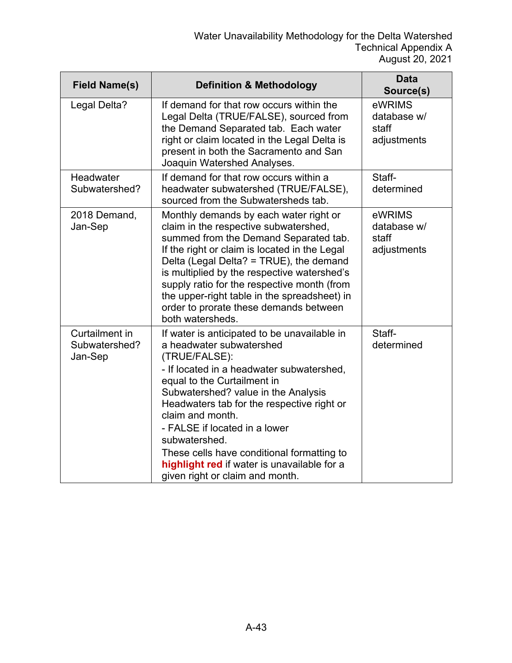| <b>Field Name(s)</b>                       | <b>Definition &amp; Methodology</b>                                                                                                                                                                                                                                                                                                                                                                                                                              | <b>Data</b><br>Source(s)                      |
|--------------------------------------------|------------------------------------------------------------------------------------------------------------------------------------------------------------------------------------------------------------------------------------------------------------------------------------------------------------------------------------------------------------------------------------------------------------------------------------------------------------------|-----------------------------------------------|
| Legal Delta?                               | If demand for that row occurs within the<br>Legal Delta (TRUE/FALSE), sourced from<br>the Demand Separated tab. Each water<br>right or claim located in the Legal Delta is<br>present in both the Sacramento and San<br>Joaquin Watershed Analyses.                                                                                                                                                                                                              | eWRIMS<br>database w/<br>staff<br>adjustments |
| Headwater<br>Subwatershed?                 | If demand for that row occurs within a<br>headwater subwatershed (TRUE/FALSE),<br>sourced from the Subwatersheds tab.                                                                                                                                                                                                                                                                                                                                            | Staff-<br>determined                          |
| 2018 Demand,<br>Jan-Sep                    | Monthly demands by each water right or<br>claim in the respective subwatershed,<br>summed from the Demand Separated tab.<br>If the right or claim is located in the Legal<br>Delta (Legal Delta? = TRUE), the demand<br>is multiplied by the respective watershed's<br>supply ratio for the respective month (from<br>the upper-right table in the spreadsheet) in<br>order to prorate these demands between<br>both watersheds.                                 | eWRIMS<br>database w/<br>staff<br>adjustments |
| Curtailment in<br>Subwatershed?<br>Jan-Sep | If water is anticipated to be unavailable in<br>a headwater subwatershed<br>(TRUE/FALSE):<br>- If located in a headwater subwatershed,<br>equal to the Curtailment in<br>Subwatershed? value in the Analysis<br>Headwaters tab for the respective right or<br>claim and month.<br>- FALSE if located in a lower<br>subwatershed.<br>These cells have conditional formatting to<br>highlight red if water is unavailable for a<br>given right or claim and month. | Staff-<br>determined                          |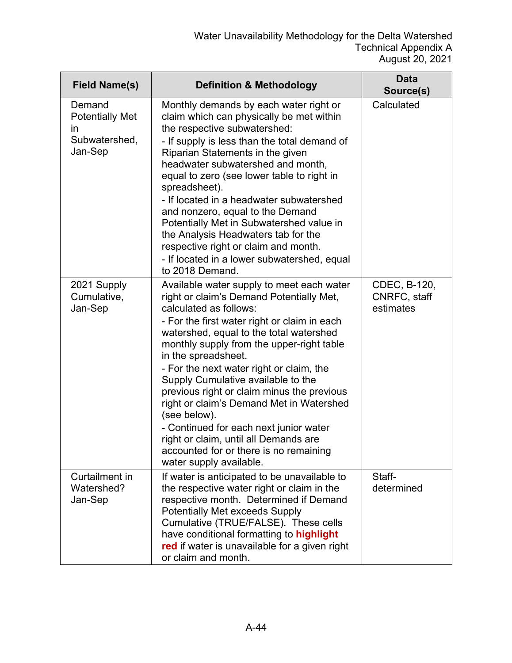| <b>Field Name(s)</b>                                                          | <b>Definition &amp; Methodology</b>                                                                                                                                                                                                                                                                                                                                                                                                                                                                                                                                                                                                | <b>Data</b><br>Source(s)                  |
|-------------------------------------------------------------------------------|------------------------------------------------------------------------------------------------------------------------------------------------------------------------------------------------------------------------------------------------------------------------------------------------------------------------------------------------------------------------------------------------------------------------------------------------------------------------------------------------------------------------------------------------------------------------------------------------------------------------------------|-------------------------------------------|
| Demand<br><b>Potentially Met</b><br>$\mathsf{In}$<br>Subwatershed,<br>Jan-Sep | Monthly demands by each water right or<br>claim which can physically be met within<br>the respective subwatershed:<br>- If supply is less than the total demand of<br>Riparian Statements in the given<br>headwater subwatershed and month,<br>equal to zero (see lower table to right in<br>spreadsheet).<br>- If located in a headwater subwatershed<br>and nonzero, equal to the Demand<br>Potentially Met in Subwatershed value in<br>the Analysis Headwaters tab for the<br>respective right or claim and month.<br>- If located in a lower subwatershed, equal<br>to 2018 Demand.                                            | Calculated                                |
| 2021 Supply<br>Cumulative,<br>Jan-Sep                                         | Available water supply to meet each water<br>right or claim's Demand Potentially Met,<br>calculated as follows:<br>- For the first water right or claim in each<br>watershed, equal to the total watershed<br>monthly supply from the upper-right table<br>in the spreadsheet.<br>- For the next water right or claim, the<br>Supply Cumulative available to the<br>previous right or claim minus the previous<br>right or claim's Demand Met in Watershed<br>(see below).<br>- Continued for each next junior water<br>right or claim, until all Demands are<br>accounted for or there is no remaining<br>water supply available. | CDEC, B-120,<br>CNRFC, staff<br>estimates |
| Curtailment in<br>Watershed?<br>Jan-Sep                                       | If water is anticipated to be unavailable to<br>the respective water right or claim in the<br>respective month. Determined if Demand<br><b>Potentially Met exceeds Supply</b><br>Cumulative (TRUE/FALSE). These cells<br>have conditional formatting to highlight<br>red if water is unavailable for a given right<br>or claim and month.                                                                                                                                                                                                                                                                                          | Staff-<br>determined                      |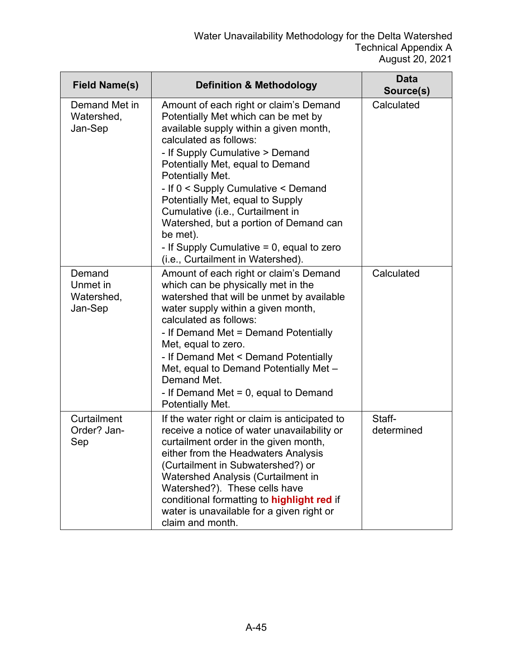| <b>Field Name(s)</b>                        | <b>Definition &amp; Methodology</b>                                                                                                                                                                                                                                                                                                                                                                                                                                                                           | <b>Data</b><br>Source(s) |
|---------------------------------------------|---------------------------------------------------------------------------------------------------------------------------------------------------------------------------------------------------------------------------------------------------------------------------------------------------------------------------------------------------------------------------------------------------------------------------------------------------------------------------------------------------------------|--------------------------|
| Demand Met in<br>Watershed,<br>Jan-Sep      | Amount of each right or claim's Demand<br>Potentially Met which can be met by<br>available supply within a given month,<br>calculated as follows:<br>- If Supply Cumulative > Demand<br>Potentially Met, equal to Demand<br><b>Potentially Met.</b><br>- If 0 < Supply Cumulative < Demand<br>Potentially Met, equal to Supply<br>Cumulative (i.e., Curtailment in<br>Watershed, but a portion of Demand can<br>be met).<br>- If Supply Cumulative $= 0$ , equal to zero<br>(i.e., Curtailment in Watershed). | Calculated               |
| Demand<br>Unmet in<br>Watershed,<br>Jan-Sep | Amount of each right or claim's Demand<br>which can be physically met in the<br>watershed that will be unmet by available<br>water supply within a given month,<br>calculated as follows:<br>- If Demand Met = Demand Potentially<br>Met, equal to zero.<br>- If Demand Met < Demand Potentially<br>Met, equal to Demand Potentially Met -<br>Demand Met.<br>- If Demand Met $= 0$ , equal to Demand<br>Potentially Met.                                                                                      | Calculated               |
| Curtailment<br>Order? Jan-<br>Sep           | If the water right or claim is anticipated to<br>receive a notice of water unavailability or<br>curtailment order in the given month,<br>either from the Headwaters Analysis<br>(Curtailment in Subwatershed?) or<br>Watershed Analysis (Curtailment in<br>Watershed?). These cells have<br>conditional formatting to highlight red if<br>water is unavailable for a given right or<br>claim and month.                                                                                                       | Staff-<br>determined     |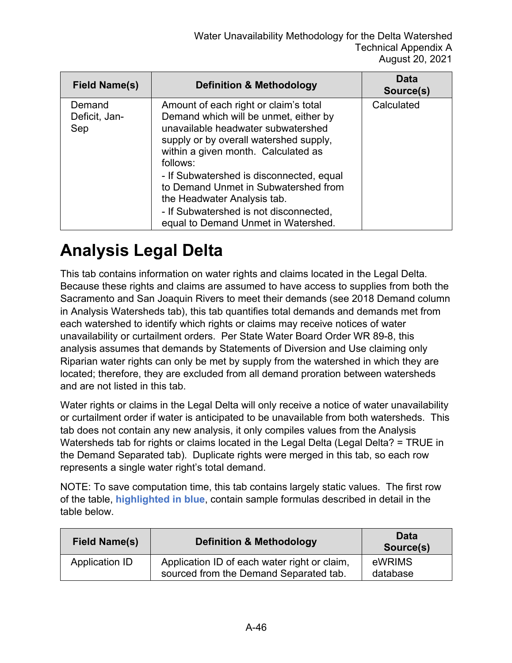| Field Name(s)                  | <b>Definition &amp; Methodology</b>                                                                                                                                                                                                                                                                                                                                                                                   | Data<br>Source(s) |
|--------------------------------|-----------------------------------------------------------------------------------------------------------------------------------------------------------------------------------------------------------------------------------------------------------------------------------------------------------------------------------------------------------------------------------------------------------------------|-------------------|
| Demand<br>Deficit, Jan-<br>Sep | Amount of each right or claim's total<br>Demand which will be unmet, either by<br>unavailable headwater subwatershed<br>supply or by overall watershed supply,<br>within a given month. Calculated as<br>follows:<br>- If Subwatershed is disconnected, equal<br>to Demand Unmet in Subwatershed from<br>the Headwater Analysis tab.<br>- If Subwatershed is not disconnected,<br>equal to Demand Unmet in Watershed. | Calculated        |

#### **Analysis Legal Delta**

This tab contains information on water rights and claims located in the Legal Delta. Because these rights and claims are assumed to have access to supplies from both the Sacramento and San Joaquin Rivers to meet their demands (see 2018 Demand column in Analysis Watersheds tab), this tab quantifies total demands and demands met from each watershed to identify which rights or claims may receive notices of water unavailability or curtailment orders. Per State Water Board Order WR 89-8, this analysis assumes that demands by Statements of Diversion and Use claiming only Riparian water rights can only be met by supply from the watershed in which they are located; therefore, they are excluded from all demand proration between watersheds and are not listed in this tab.

Water rights or claims in the Legal Delta will only receive a notice of water unavailability or curtailment order if water is anticipated to be unavailable from both watersheds. This tab does not contain any new analysis, it only compiles values from the Analysis Watersheds tab for rights or claims located in the Legal Delta (Legal Delta? = TRUE in the Demand Separated tab). Duplicate rights were merged in this tab, so each row represents a single water right's total demand.

NOTE: To save computation time, this tab contains largely static values. The first row of the table, **highlighted in blue**, contain sample formulas described in detail in the table below.

| <b>Field Name(s)</b> | <b>Definition &amp; Methodology</b>                                                    | <b>Data</b><br>Source(s) |
|----------------------|----------------------------------------------------------------------------------------|--------------------------|
| Application ID       | Application ID of each water right or claim,<br>sourced from the Demand Separated tab. | eWRIMS<br>database       |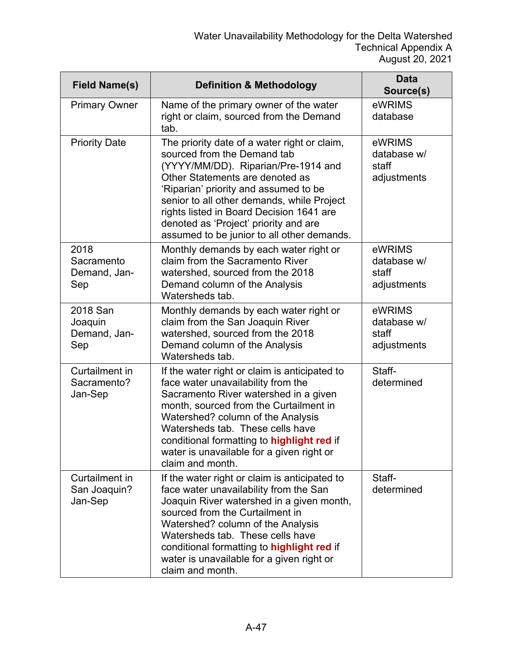| <b>Field Name(s)</b>                       | <b>Definition &amp; Methodology</b>                                                                                                                                                                                                                                                                                                                                             | <b>Data</b><br>Source(s)                      |
|--------------------------------------------|---------------------------------------------------------------------------------------------------------------------------------------------------------------------------------------------------------------------------------------------------------------------------------------------------------------------------------------------------------------------------------|-----------------------------------------------|
| <b>Primary Owner</b>                       | Name of the primary owner of the water<br>right or claim, sourced from the Demand<br>tab.                                                                                                                                                                                                                                                                                       | eWRIMS<br>database                            |
| <b>Priority Date</b>                       | The priority date of a water right or claim,<br>sourced from the Demand tab<br>(YYYY/MM/DD). Riparian/Pre-1914 and<br>Other Statements are denoted as<br>'Riparian' priority and assumed to be<br>senior to all other demands, while Project<br>rights listed in Board Decision 1641 are<br>denoted as 'Project' priority and are<br>assumed to be junior to all other demands. | eWRIMS<br>database w/<br>staff<br>adjustments |
| 2018<br>Sacramento<br>Demand, Jan-<br>Sep  | Monthly demands by each water right or<br>claim from the Sacramento River<br>watershed, sourced from the 2018<br>Demand column of the Analysis<br>Watersheds tab.                                                                                                                                                                                                               | eWRIMS<br>database w/<br>staff<br>adjustments |
| 2018 San<br>Joaquin<br>Demand, Jan-<br>Sep | Monthly demands by each water right or<br>claim from the San Joaquin River<br>watershed, sourced from the 2018<br>Demand column of the Analysis<br>Watersheds tab.                                                                                                                                                                                                              | eWRIMS<br>database w/<br>staff<br>adjustments |
| Curtailment in<br>Sacramento?<br>Jan-Sep   | If the water right or claim is anticipated to<br>face water unavailability from the<br>Sacramento River watershed in a given<br>month, sourced from the Curtailment in<br>Watershed? column of the Analysis<br>Watersheds tab. These cells have<br>conditional formatting to highlight red if<br>water is unavailable for a given right or<br>claim and month.                  | Staff-<br>determined                          |
| Curtailment in<br>San Joaquin?<br>Jan-Sep  | If the water right or claim is anticipated to<br>face water unavailability from the San<br>Joaquin River watershed in a given month,<br>sourced from the Curtailment in<br>Watershed? column of the Analysis<br>Watersheds tab. These cells have<br>conditional formatting to highlight red if<br>water is unavailable for a given right or<br>claim and month.                 | Staff-<br>determined                          |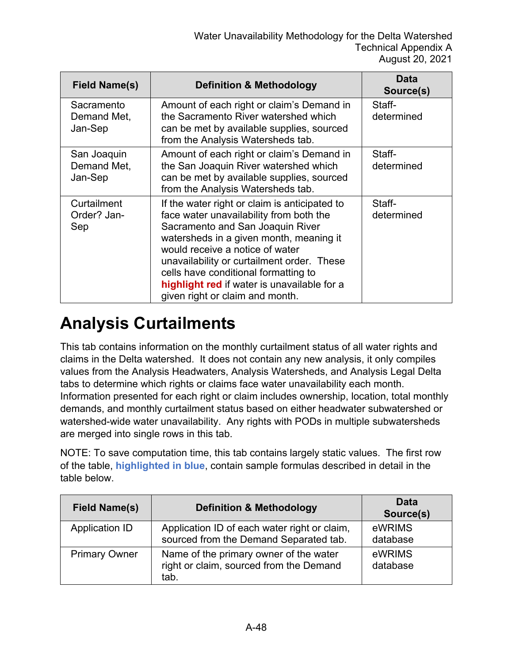| <b>Field Name(s)</b>                  | <b>Definition &amp; Methodology</b>                                                                                                                                                                                                                                                                                                                                                | Data<br>Source(s)    |
|---------------------------------------|------------------------------------------------------------------------------------------------------------------------------------------------------------------------------------------------------------------------------------------------------------------------------------------------------------------------------------------------------------------------------------|----------------------|
| Sacramento<br>Demand Met,<br>Jan-Sep  | Amount of each right or claim's Demand in<br>the Sacramento River watershed which<br>can be met by available supplies, sourced<br>from the Analysis Watersheds tab.                                                                                                                                                                                                                | Staff-<br>determined |
| San Joaquin<br>Demand Met,<br>Jan-Sep | Amount of each right or claim's Demand in<br>the San Joaquin River watershed which<br>can be met by available supplies, sourced<br>from the Analysis Watersheds tab.                                                                                                                                                                                                               | Staff-<br>determined |
| Curtailment<br>Order? Jan-<br>Sep     | If the water right or claim is anticipated to<br>face water unavailability from both the<br>Sacramento and San Joaquin River<br>watersheds in a given month, meaning it<br>would receive a notice of water<br>unavailability or curtailment order. These<br>cells have conditional formatting to<br>highlight red if water is unavailable for a<br>given right or claim and month. | Staff-<br>determined |

#### **Analysis Curtailments**

This tab contains information on the monthly curtailment status of all water rights and claims in the Delta watershed. It does not contain any new analysis, it only compiles values from the Analysis Headwaters, Analysis Watersheds, and Analysis Legal Delta tabs to determine which rights or claims face water unavailability each month. Information presented for each right or claim includes ownership, location, total monthly demands, and monthly curtailment status based on either headwater subwatershed or watershed-wide water unavailability. Any rights with PODs in multiple subwatersheds are merged into single rows in this tab.

NOTE: To save computation time, this tab contains largely static values. The first row of the table, **highlighted in blue**, contain sample formulas described in detail in the table below.

| <b>Field Name(s)</b>  | <b>Definition &amp; Methodology</b>                                                       | <b>Data</b><br>Source(s) |
|-----------------------|-------------------------------------------------------------------------------------------|--------------------------|
| <b>Application ID</b> | Application ID of each water right or claim,<br>sourced from the Demand Separated tab.    | eWRIMS<br>database       |
| <b>Primary Owner</b>  | Name of the primary owner of the water<br>right or claim, sourced from the Demand<br>tab. | eWRIMS<br>database       |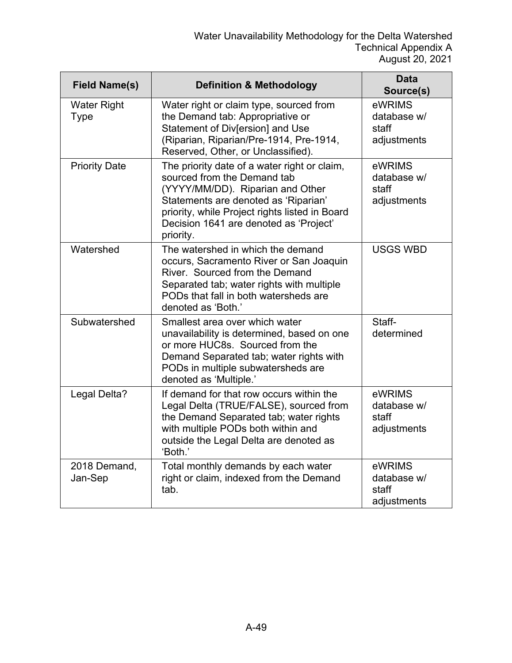| <b>Field Name(s)</b>              | <b>Definition &amp; Methodology</b>                                                                                                                                                                                                                              | <b>Data</b><br>Source(s)                      |
|-----------------------------------|------------------------------------------------------------------------------------------------------------------------------------------------------------------------------------------------------------------------------------------------------------------|-----------------------------------------------|
| <b>Water Right</b><br><b>Type</b> | Water right or claim type, sourced from<br>the Demand tab: Appropriative or<br>Statement of Div[ersion] and Use<br>(Riparian, Riparian/Pre-1914, Pre-1914,<br>Reserved, Other, or Unclassified).                                                                 | eWRIMS<br>database w/<br>staff<br>adjustments |
| <b>Priority Date</b>              | The priority date of a water right or claim,<br>sourced from the Demand tab<br>(YYYY/MM/DD). Riparian and Other<br>Statements are denoted as 'Riparian'<br>priority, while Project rights listed in Board<br>Decision 1641 are denoted as 'Project'<br>priority. | eWRIMS<br>database w/<br>staff<br>adjustments |
| Watershed                         | The watershed in which the demand<br>occurs, Sacramento River or San Joaquin<br>River. Sourced from the Demand<br>Separated tab; water rights with multiple<br>PODs that fall in both watersheds are<br>denoted as 'Both.'                                       | <b>USGS WBD</b>                               |
| Subwatershed                      | Smallest area over which water<br>unavailability is determined, based on one<br>or more HUC8s. Sourced from the<br>Demand Separated tab; water rights with<br>PODs in multiple subwatersheds are<br>denoted as 'Multiple.'                                       | Staff-<br>determined                          |
| Legal Delta?                      | If demand for that row occurs within the<br>Legal Delta (TRUE/FALSE), sourced from<br>the Demand Separated tab; water rights<br>with multiple PODs both within and<br>outside the Legal Delta are denoted as<br>'Both.'                                          | eWRIMS<br>database w/<br>staff<br>adjustments |
| 2018 Demand,<br>Jan-Sep           | Total monthly demands by each water<br>right or claim, indexed from the Demand<br>tab.                                                                                                                                                                           | eWRIMS<br>database w/<br>staff<br>adjustments |